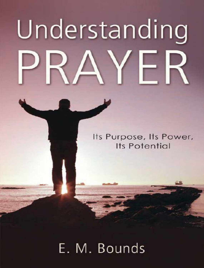# Understanding

Its Purpose, Its Power, Its Potential

# E. M. Bounds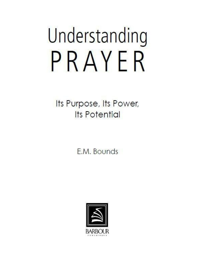# Understanding PRAYER

Its Purpose, Its Power, Its Potential

F.M. Bounds

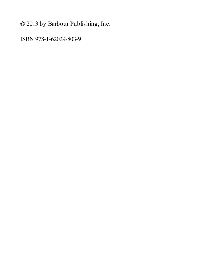© 2013 by Barbour Publishing, Inc.

ISBN 978-1-62029-803-9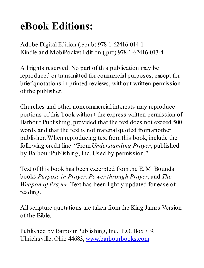### **eBook Editions:**

Adobe Digital Edition (.epub) 978-1-62416-014-1 Kindle and MobiPocket Edition (.prc) 978-1-62416-013-4

All rights reserved. No part of this publication may be reproduced or transmitted for commercial purposes, except for brief quotations in printed reviews, without written permission of the publisher.

Churches and other noncommercial interests may reproduce portions of this book without the express written permission of Barbour Publishing, provided that the text does not exceed 500 words and that the text is not material quoted from another publisher. When reproducing text fromthis book, include the following credit line: "From*Understanding Prayer*, published by Barbour Publishing, Inc. Used by permission."

Text of this book has been excerpted fromthe E. M. Bounds books *Purpose in Prayer, Power through Prayer*, and *The Weapon of Prayer.* Text has been lightly updated for ease of reading.

Allscripture quotations are taken fromthe King James Version of the Bible.

Published by Barbour Publishing, Inc., P.O. Box719, Uhrichsville, Ohio 44683, www.barbourbooks.com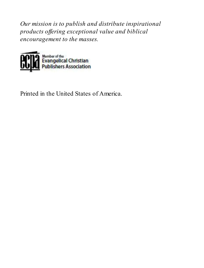*Our mission is to publish and distribute inspirational products of ering exceptional value and biblical encouragement to the masses.*



Printed in the United States of America.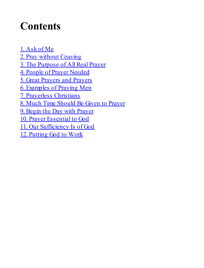## **Contents**

1. Ask of Me 2. Pray without Ceasing 3. The Purpose of All Real Prayer 4. People of Prayer Needed 5. Great Prayers and Prayers 6. Examples of Praying Men 7. Prayerless Christians 8. Much Time Should Be Given to Prayer 9. Begin the Day with Prayer 10. Prayer Essential to God 11. Our Sufficiency Is of God 12. Putting God to Work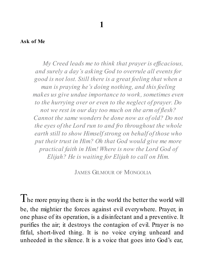#### **Ask of Me**

*My Creed leads me to think that prayer is ef icacious, and surely a day's asking God to overrule all events for good is not lost. Still there is a great feeling that when a man is praying he's doing nothing, and this feeling makes us give undue importance to work, sometimes even to the hurrying over or even to the neglect of prayer. Do not we rest in our day too much on the arm of flesh? Cannot the same wonders be done now as of old? Do not the eyes of the Lord run to and fro throughout the whole earth still to show Himselfstrong on behalf of those who put their trust in Him? Oh that God would give me more practical faith in Him! Where is now the Lord God of Elijah? He is waiting for Elijah to call on Him.*

JAMES GILMOUR OF MONGOLIA

The more praying there is in the world the better the world will be, the mightier the forces against evil everywhere. Prayer, in one phase of its operation, is a disinfectant and a preventive. It purifies the air; it destroys the contagion of evil. Prayer is no fitful, short-lived thing. It is no voice crying unheard and unheeded in the silence. It is a voice that goes into God's ear,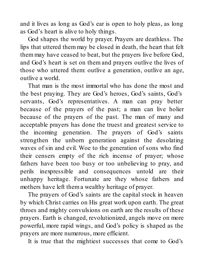and it lives as long as God's ear is open to holy pleas, as long as God's heart is alive to holy things.

God shapes the world by prayer. Prayers are deathless. The lips that uttered them may be closed in death, the heart that felt them may have ceased to beat, but the prayers live before God, and God's heart is set on them and prayers outlive the lives of those who uttered them: outlive a generation, outlive an age, outlive a world.

That man is the most immortal who has done the most and the best praying. They are God's heroes, God's saints, God's servants, God's representatives. A man can pray better because of the prayers of the past; a man can live holier because of the prayers of the past. The man of many and acceptable prayers has done the truest and greatest service to the incoming generation. The prayers of God's saints strengthen the unborn generation against the desolating waves of sin and evil. Woe to the generation of sons who find their censers empty of the rich incense of prayer; whose fathers have been too busy or too unbelieving to pray, and perils inexpressible and consequences untold are their unhappy heritage. Fortunate are they whose fathers and mothers have left thema wealthy heritage of prayer.

The prayers of God's saints are the capital stock in heaven by which Christ carries on His great work upon earth. The great throes and mighty convulsions on earth are the results of these prayers. Earth is changed, revolutionized, angels move on more powerful, more rapid wings, and God's policy is shaped as the prayers are more numerous, more efficient.

It is true that the mightiest successes that come to God's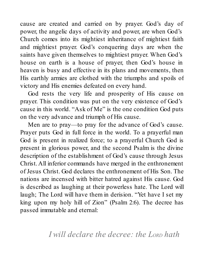cause are created and carried on by prayer. God's day of power, the angelic days of activity and power, are when God's Church comes into its mightiest inheritance of mightiest faith and mightiest prayer. God's conquering days are when the saints have given themselves to mightiest prayer. When God's house on earth is a house of prayer, then God's house in heaven is busy and effective in its plans and movements, then His earthly armies are clothed with the triumphs and spoils of victory and His enemies defeated on every hand.

God rests the very life and prosperity of His cause on prayer. This condition was put on the very existence of God's cause in this world. "Ask of Me" is the one condition God puts on the very advance and triumph of His cause.

Men are to pray—to pray for the advance of God's cause. Prayer puts God in full force in the world. To a prayerful man God is present in realized force; to a prayerful Church God is present in glorious power, and the second Psalm is the divine description of the establishment of God's cause through Jesus Christ.All inferior commands have merged in the enthronement of Jesus Christ. God declares the enthronement of His Son. The nations are incensed with bitter hatred against His cause. God is described as laughing at their powerless hate. The Lord will laugh; The Lord will have them in derision. "Yet have I set my king upon my holy hill of Zion" (Psalm 2:6). The decree has passed immutable and eternal:

*I will declare the decree: the LORD hath*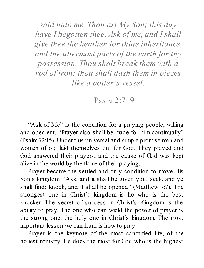*said unto me, Thou art My Son; this day have I begotten thee. Ask of me, and I shall give thee the heathen for thine inheritance, and the uttermost parts of the earth for thy possession. Thou shalt break them with a rod of iron; thou shalt dash them in pieces like a potter's vessel.*

#### PSALM 2:7–9

"Ask of Me" is the condition for a praying people, willing and obedient. "Prayer also shall be made for him continually" (Psalm72:15). Under this universal and simple promise men and women of old laid themselves out for God. They prayed and God answered their prayers, and the cause of God was kept alive in the world by the flame of their praying.

Prayer became the settled and only condition to move His Son's kingdom. "Ask, and it shall be given you; seek, and ye shall find; knock, and it shall be opened" (Matthew 7:7). The strongest one in Christ's kingdom is he who is the best knocker. The secret of success in Christ's Kingdom is the ability to pray. The one who can wield the power of prayer is the strong one, the holy one in Christ's kingdom. The most important lesson we can learn is how to pray.

Prayer is the keynote of the most sanctified life, of the holiest ministry. He does the most for God who is the highest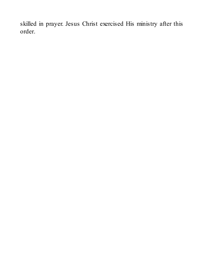skilled in prayer. Jesus Christ exercised His ministry after this order.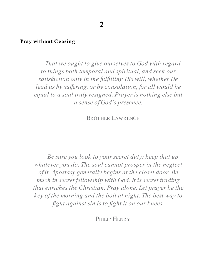#### **Pray without Ceasing**

*That we ought to give ourselves to God with regard to things both temporal and spiritual, and seek our satisfaction only in the fulfilling His will, whether He lead us by suf ering, or by consolation, for all would be equal to a soul truly resigned. Prayer is nothing else but a sense of God's presence.*

BROTHER LAWRENCE

*Be sure you look to your secret duty; keep that up whatever you do. The soul cannot prosper in the neglect of it. Apostasy generally begins at the closet door. Be much in secret fellowship with God. It is secret trading that enriches the Christian. Pray alone. Let prayer be the key of the morning and the bolt at night. The best way to fight against sin is to fight it on our knees.*

PHILIP HENRY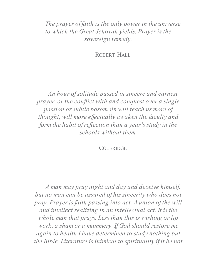*The prayer of faith is the only power in the universe to which the Great Jehovah yields. Prayer is the sovereign remedy.*

ROBERT HALL

*An hour ofsolitude passed in sincere and earnest prayer, or the conflict with and conquest over a single passion or subtle bosom sin will teach us more of thought, will more ef ectually awaken the faculty and form the habit ofreflection than a year's study in the schools without them.*

COLERIDGE

*A man may pray night and day and deceive himself, but no man can be assured of his sincerity who does not pray. Prayer is faith passing into act. A union of the will and intellect realizing in an intellectual act. It is the whole man that prays. Less than this is wishing or lip work, a sham or a mummery. If God should restore me again to health I have determined to study nothing but the Bible. Literature is inimical to spirituality if it be not*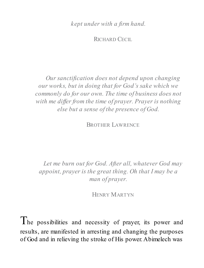*kept under with a firm hand.*

RICHARD CECIL

*Our sanctification does not depend upon changing our works, but in doing that for God's sake which we commonly do for our own. The time of business does not with me dif er from the time of prayer. Prayer is nothing else but a sense of the presence of God.*

BROTHER LAWRENCE

*Let me burn out for God. After all, whatever God may appoint, prayer is the great thing. Oh that I may be a man of prayer.*

HENRY MARTYN

The possibilities and necessity of prayer, its power and results, are manifested in arresting and changing the purposes of God and in relieving the stroke of His power. Abimelech was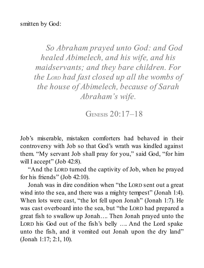smitten by God:

*So Abraham prayed unto God: and God healed Abimelech, and his wife, and his maidservants; and they bare children. For the LORD had fast closed up all the wombs of the house of Abimelech, because of Sarah Abraham's wife.*

GENESIS  $20.17 - 18$ 

Job's miserable, mistaken comforters had behaved in their controversy with Job so that God's wrath was kindled against them. "My servant Job shall pray for you," said God, "for him will I accept" (Job 42:8).

"And the LORD turned the captivity of Job, when he prayed for his friends" (Job 42:10).

Jonah was in dire condition when "the LORD sent out a great wind into the sea, and there was a mighty tempest" (Jonah 1:4). When lots were cast, "the lot fell upon Jonah" (Jonah 1:7). He was cast overboard into the sea, but "the LORD had prepared a great fish to swallow up Jonah…. Then Jonah prayed unto the LORD his God out of the fish's belly …. And the Lord spake unto the fish, and it vomited out Jonah upon the dry land" (Jonah 1:17; 2:1, 10).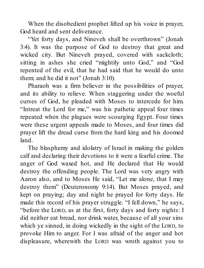When the disobedient prophet lifted up his voice in prayer. God heard and sent deliverance.

"Yet forty days, and Nineveh shall be overthrown" (Jonah 3:4). It was the purpose of God to destroy that great and wicked city. But Nineveh prayed, covered with sackcloth; sitting in ashes she cried "mightily unto God," and "God repented of the evil, that he had said that he would do unto them; and he did it not" (Jonah 3:10).

Pharaoh was a firm believer in the possibilities of prayer, and its ability to relieve. When staggering under the woeful curses of God, he pleaded with Moses to intercede for him. "Intreat the Lord for me," was his pathetic appeal four times repeated when the plagues were scourging Egypt. Four times were these urgent appeals made to Moses, and four times did prayer lift the dread curse from the hard king and his doomed land.

The blasphemy and idolatry of Israel in making the golden calf and declaring their devotions to it were a fearful crime. The anger of God waxed hot, and He declared that He would destroy the offending people. The Lord was very angry with Aaron also, and to Moses He said, "Let me alone, that I may destroy them" (Deuteronomy 9:14). But Moses prayed, and kept on praying; day and night he prayed for forty days. He made this record of his prayer struggle. "I fell down," he says, "before the LORD, as at the first, forty days and forty nights: I did neither eat bread, nor drink water, because of all your sins which ye sinned, in doing wickedly in the sight of the LORD, to provoke Him to anger. For I was afraid of the anger and hot displeasure, wherewith the LORD was wroth against you to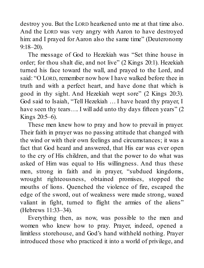destroy you. But the LORD hearkened unto me at that time also. And the LORD was very angry with Aaron to have destroyed him: and I prayed for Aaron also the same time" (Deuteronomy 9:18–20).

The message of God to Hezekiah was "Set thine house in order; for thou shalt die, and not live" (2 Kings 20:1). Hezekiah turned his face toward the wall, and prayed to the Lord, and said: "O LORD, remember now how I have walked before thee in truth and with a perfect heart, and have done that which is good in thy sight. And Hezekiah wept sore" (2 Kings 20:3). God said to Isaiah, "Tell Hezekiah … I have heard thy prayer, I have seen thy tears.... I will add unto thy days fifteen years" (2) Kings 20:5–6).

These men knew how to pray and how to prevail in prayer. Their faith in prayer was no passing attitude that changed with the wind or with their own feelings and circumstances; it was a fact that God heard and answered, that His ear was ever open to the cry of His children, and that the power to do what was asked of Him was equal to His willingness. And thus these men, strong in faith and in prayer, "subdued kingdoms, wrought righteousness, obtained promises, stopped the mouths of lions. Quenched the violence of fire, escaped the edge of the sword, out of weakness were made strong, waxed valiant in fight, turned to flight the armies of the aliens" (Hebrews 11:33–34).

Everything then, as now, was possible to the men and women who knew how to pray. Prayer, indeed, opened a limitless storehouse, and God's hand withheld nothing. Prayer introduced those who practiced it into a world of privilege, and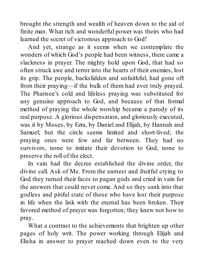brought the strength and wealth of heaven down to the aid of finite man. What rich and wonderful power was theirs who had learned the secret of victorious approach to God!

And yet, strange as it seems when we contemplate the wonders of which God's people had been witness, there came a slackness in prayer. The mighty hold upon God, that had so often struck awe and terror into the hearts of their enemies, lost its grip. The people, backslidden and unfaithful, had gone off from their praying—if the bulk of them had ever truly prayed. The Pharisee's cold and lifeless praying was substituted for any genuine approach to God, and because of that formal method of praying the whole worship became a parody of its real purpose. A glorious dispensation, and gloriously executed, was it by Moses, by Ezra, by Daniel and Elijah, by Hannah and Samuel; but the circle seems limited and short-lived; the praying ones were few and far between. They had no survivors, none to imitate their devotion to God, none to preserve the roll of the elect.

In vain had the decree established the divine order, the divine call. Ask of Me. From the earnest and fruitful crying to God they turned their faces to pagan gods and cried in vain for the answers that could never come. And so they sank into that godless and pitiful state of those who have lost their purpose in life when the link with the eternal has been broken. Their favored method of prayer was forgotten; they knew not how to pray.

What a contrast to the achievements that brighten up other pages of holy writ. The power working through Elijah and Elisha in answer to prayer reached down even to the very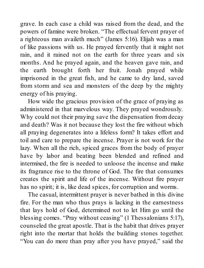grave. In each case a child was raised from the dead, and the powers of famine were broken. "The effectual fervent prayer of a righteous man availeth much" (James 5:16). Elijah was a man of like passions with us. He prayed fervently that it might not rain, and it rained not on the earth for three years and six months. And he prayed again, and the heaven gave rain, and the earth brought forth her fruit. Jonah prayed while imprisoned in the great fish, and he came to dry land, saved from storm and sea and monsters of the deep by the mighty energy of his praying.

How wide the gracious provision of the grace of praying as administered in that marvelous way. They prayed wondrously. Why could not their praying save the dispensation from decay and death? Was it not because they lost the fire without which all praying degenerates into a lifeless form? It takes effort and toil and care to prepare the incense. Prayer is not work for the lazy. When all the rich, spiced graces from the body of prayer have by labor and beating been blended and refined and intermixed, the fire is needed to unloose the incense and make its fragrance rise to the throne of God. The fire that consumes creates the spirit and life of the incense. Without fire prayer has no spirit; it is, like dead spices, for corruption and worms.

The casual, intermittent prayer is never bathed in this divine fire. For the man who thus prays is lacking in the earnestness that lays hold of God, determined not to let Him go until the blessing comes. "Pray without ceasing" (1 Thessalonians 5:17), counseled the great apostle. That is the habit that drives prayer right into the mortar that holds the building stones together. "You can do more than pray after you have prayed," said the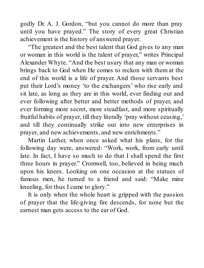godly Dr. A. J. Gordon, "but you cannot do more than pray until you have prayed." The story of every great Christian achievement is the history of answered prayer.

"The greatest and the best talent that God gives to any man or woman in this world is the talent of prayer," writes Principal Alexander Whyte. "And the best usury that any man or woman brings back to God when He comes to reckon with them at the end of this world is a life of prayer. And those servants best put their Lord's money 'to the exchangers' who rise early and sit late, as long as they are in this world, ever finding out and ever following after better and better methods of prayer, and ever forming more secret, more steadfast, and more spiritually fruitful habits of prayer, till they literally 'pray without ceasing,' and till they continually strike out into new enterprises in prayer, and new achievements, and new enrichments."

Martin Luther, when once asked what his plans, for the following day were, answered: "Work, work, from early until late. In fact, I have so much to do that I shall spend the first three hours in prayer." Cromwell, too, believed in being much upon his knees. Looking on one occasion at the statues of famous men, he turned to a friend and said: "Make mine kneeling, for thus I came to glory."

It is only when the whole heart is gripped with the passion of prayer that the life-giving fire descends, for none but the earnest man gets access to the ear of God.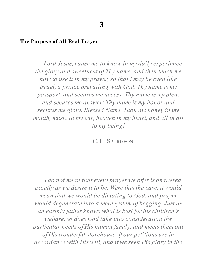#### **The Purpose of All Real Prayer**

*Lord Jesus, cause me to know in my daily experience the glory and sweetness of Thy name, and then teach me how to use it in my prayer, so that I may be even like Israel, a prince prevailing with God. Thy name is my passport, and secures me access; Thy name is my plea, and secures me answer; Thy name is my honor and secures me glory. Blessed Name, Thou art honey in my mouth, music in my ear, heaven in my heart, and all in all to my being!*

C. H. SPURGEON

*I do not mean that every prayer we of er is answered exactly as we desire it to be. Were this the case, it would mean that we would be dictating to God, and prayer would degenerate into a mere system of begging. Just as an earthly father knows what is best for his children's welfare, so does God take into consideration the particular needs of His human family, and meets them out of His wonderful storehouse. If our petitions are in accordance with His will, and if we seek His glory in the*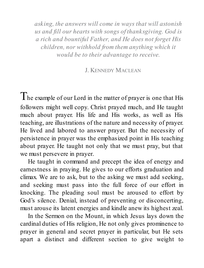*asking, the answers will come in ways that will astonish us and fill our hearts with songs of thanksgiving. God is a rich and bountiful Father, and He does not forget His children, nor withhold from them anything which it would be to their advantage to receive.*

#### J. KENNEDY MACLEAN

The example of our Lord in the matter of prayer is one that His followers might well copy. Christ prayed much, and He taught much about prayer. His life and His works, as well as His teaching, are illustrations of the nature and necessity of prayer. He lived and labored to answer prayer. But the necessity of persistence in prayer was the emphasized point in His teaching about prayer. He taught not only that we must pray, but that we must persevere in prayer.

He taught in command and precept the idea of energy and earnestness in praying. He gives to our efforts graduation and climax. We are to ask, but to the asking we must add seeking, and seeking must pass into the full force of our effort in knocking. The pleading soul must be aroused to effort by God's silence. Denial, instead of preventing or disconcerting, must arouse its latent energies and kindle anew its highest zeal.

In the Sermon on the Mount, in which Jesus lays down the cardinal duties of His religion, He not only gives prominence to prayer in general and secret prayer in particular, but He sets apart a distinct and different section to give weight to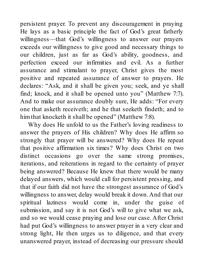persistent prayer. To prevent any discouragement in praying He lays as a basic principle the fact of God's great fatherly willingness—that God's willingness to answer our prayers exceeds our willingness to give good and necessary things to our children, just as far as God's ability, goodness, and perfection exceed our infirmities and evil. As a further assurance and stimulant to prayer, Christ gives the most positive and repeated assurance of answer to prayers. He declares: "Ask, and it shall be given you; seek, and ye shall find; knock, and it shall be opened unto you" (Matthew 7:7). And to make our assurance doubly sure, He adds: "For every one that asketh receiveth; and he that seeketh findeth; and to himthat knocketh it shall be opened" (Matthew 7:8).

Why does He unfold to us the Father's loving readiness to answer the prayers of His children? Why does He affirm so strongly that prayer will be answered? Why does He repeat that positive affirmation six times? Why does Christ on two distinct occasions go over the same strong promises, iterations, and reiterations in regard to the certainty of prayer being answered? Because He knew that there would be many delayed answers, which would call for persistent pressing, and that if our faith did not have the strongest assurance of God's willingness to answer, delay would break it down.And that our spiritual laziness would come in, under the guise of submission, and say it is not God's will to give what we ask, and so we would cease praying and lose our case. After Christ had put God's willingness to answer prayer in a very clear and strong light, He then urges us to diligence, and that every unanswered prayer, instead of decreasing our pressure should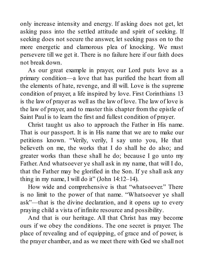only increase intensity and energy. If asking does not get, let asking pass into the settled attitude and spirit of seeking. If seeking does not secure the answer, let seeking pass on to the more energetic and clamorous plea of knocking. We must persevere till we get it. There is no failure here if our faith does not break down.

As our great example in prayer, our Lord puts love as a primary condition—a love that has purified the heart from all the elements of hate, revenge, and ill will. Love is the supreme condition of prayer, a life inspired by love. First Corinthians 13 is the law of prayer as well as the law of love. The law of love is the law of prayer, and to master this chapter from the epistle of Saint Paul is to learn the first and fullest condition of prayer.

Christ taught us also to approach the Father in His name. That is our passport. It is in His name that we are to make our petitions known. "Verily, verily, I say unto you, He that believeth on me, the works that I do shall he do also; and greater works than these shall he do; because I go unto my Father. And whatsoever ye shall ask in my name, that will I do, that the Father may be glorified in the Son. If ye shall ask any thing in my name, I will do it" (John 14:12–14).

How wide and comprehensive is that "whatsoever." There is no limit to the power of that name. "Whatsoever ye shall ask"—that is the divine declaration, and it opens up to every praying child a vista of infinite resource and possibility.

And that is our heritage. All that Christ has may become ours if we obey the conditions. The one secret is prayer. The place of revealing and of equipping, of grace and of power, is the prayer chamber, and as we meet there with God we shall not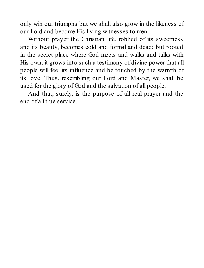only win our triumphs but we shall also grow in the likeness of our Lord and become His living witnesses to men.

Without prayer the Christian life, robbed of its sweetness and its beauty, becomes cold and formal and dead; but rooted in the secret place where God meets and walks and talks with His own, it grows into such a testimony of divine power that all people will feel its influence and be touched by the warmth of its love. Thus, resembling our Lord and Master, we shall be used for the glory of God and the salvation of all people.

And that, surely, is the purpose of all real prayer and the end of all true service.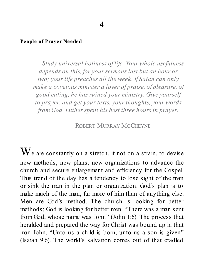#### **People of Prayer Needed**

*Study universal holiness of life. Your whole usefulness depends on this, for your sermons last but an hour or two; your life preaches all the week. If Satan can only make a covetous minister a lover of praise, of pleasure, of good eating, he has ruined your ministry. Give yourself to prayer, and get your texts, your thoughts, your words from God. Luther spent his best three hours in prayer.*

ROBERT MURRAY MCCHEYNE

 $W_e$  are constantly on a stretch, if not on a strain, to devise new methods, new plans, new organizations to advance the church and secure enlargement and efficiency for the Gospel. This trend of the day has a tendency to lose sight of the man or sink the man in the plan or organization. God's plan is to make much of the man, far more of him than of anything else. Men are God's method. The church is looking for better methods; God is looking for better men. "There was a man sent from God, whose name was John" (John 1:6). The process that heralded and prepared the way for Christ was bound up in that man John. "Unto us a child is born, unto us a son is given" (Isaiah 9:6). The world's salvation comes out of that cradled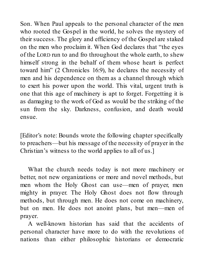Son. When Paul appeals to the personal character of the men who rooted the Gospel in the world, he solves the mystery of their success. The glory and efficiency of the Gospel are staked on the men who proclaim it. When God declares that "the eyes of the LORD run to and fro throughout the whole earth, to shew himself strong in the behalf of them whose heart is perfect toward him" (2 Chronicles 16:9), he declares the necessity of men and his dependence on them as a channel through which to exert his power upon the world. This vital, urgent truth is one that this age of machinery is apt to forget. Forgetting it is as damaging to the work of God as would be the striking of the sun from the sky. Darkness, confusion, and death would ensue.

[Editor's note: Bounds wrote the following chapter specifically to preachers—but his message of the necessity of prayer in the Christian's witness to the world applies to all of us.]

What the church needs today is not more machinery or better, not new organizations or more and novel methods, but men whom the Holy Ghost can use—men of prayer, men mighty in prayer. The Holy Ghost does not flow through methods, but through men. He does not come on machinery, but on men. He does not anoint plans, but men—men of prayer.

A well-known historian has said that the accidents of personal character have more to do with the revolutions of nations than either philosophic historians or democratic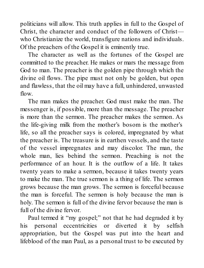politicians will allow. This truth applies in full to the Gospel of Christ, the character and conduct of the followers of Christ who Christianize the world, transfigure nations and individuals. Of the preachers of the Gospel it is eminently true.

The character as well as the fortunes of the Gospel are committed to the preacher. He makes or mars the message from God to man. The preacher is the golden pipe through which the divine oil flows. The pipe must not only be golden, but open and flawless, that the oil may have a full, unhindered, unwasted flow.

The man makes the preacher. God must make the man. The messenger is, if possible, more than the message. The preacher is more than the sermon. The preacher makes the sermon. As the life-giving milk from the mother's bosom is the mother's life, so all the preacher says is colored, impregnated by what the preacher is. The treasure is in earthen vessels, and the taste of the vessel impregnates and may discolor. The man, the whole man, lies behind the sermon. Preaching is not the performance of an hour. It is the outflow of a life. It takes twenty years to make a sermon, because it takes twenty years to make the man. The true sermon is a thing of life. The sermon grows because the man grows. The sermon is forceful because the man is forceful. The sermon is holy because the man is holy. The sermon is full of the divine fervor because the man is full of the divine fervor.

Paul termed it "my gospel;" not that he had degraded it by his personal eccentricities or diverted it by selfish appropriation, but the Gospel was put into the heart and lifeblood of the man Paul, as a personal trust to be executed by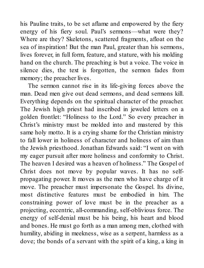his Pauline traits, to be set aflame and empowered by the fiery energy of his fiery soul. Paul's sermons—what were they? Where are they? Skeletons, scattered fragments, afloat on the sea of inspiration! But the man Paul, greater than his sermons, lives forever, in full form, feature, and stature, with his molding hand on the church. The preaching is but a voice. The voice in silence dies, the text is forgotten, the sermon fades from memory; the preacher lives.

The sermon cannot rise in its life-giving forces above the man. Dead men give out dead sermons, and dead sermons kill. Everything depends on the spiritual character of the preacher. The Jewish high priest had inscribed in jeweled letters on a golden frontlet: "Holiness to the Lord." So every preacher in Christ's ministry must be molded into and mastered by this same holy motto. It is a crying shame for the Christian ministry to fall lower in holiness of character and holiness of aim than the Jewish priesthood. Jonathan Edwards said: "I went on with my eager pursuit after more holiness and conformity to Christ. The heaven I desired was a heaven of holiness." The Gospel of Christ does not move by popular waves. It has no selfpropagating power. It moves as the men who have charge of it move. The preacher must impersonate the Gospel. Its divine, most distinctive features must be embodied in him. The constraining power of love must be in the preacher as a projecting, eccentric, all-commanding, self-oblivious force. The energy of self-denial must be his being, his heart and blood and bones. He must go forth as a man among men, clothed with humility, abiding in meekness, wise as a serpent, harmless as a dove; the bonds of a servant with the spirit of a king, a king in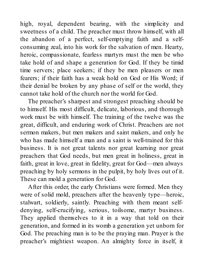high, royal, dependent bearing, with the simplicity and sweetness of a child. The preacher must throw himself, with all the abandon of a perfect, self-emptying faith and a selfconsuming zeal, into his work for the salvation of men. Hearty, heroic, compassionate, fearless martyrs must the men be who take hold of and shape a generation for God. If they be timid time servers; place seekers; if they be men pleasers or men fearers; if their faith has a weak hold on God or His Word; if their denial be broken by any phase of self or the world, they cannot take hold of the church nor the world for God.

The preacher's sharpest and strongest preaching should be to himself. His most difficult, delicate, laborious, and thorough work must be with himself. The training of the twelve was the great, difficult, and enduring work of Christ. Preachers are not sermon makers, but men makers and saint makers, and only he who has made himself a man and a saint is well-trained for this business. It is not great talents nor great learning nor great preachers that God needs, but men great in holiness, great in faith, great in love, great in fidelity, great for God—men always preaching by holy sermons in the pulpit, by holy lives out of it. These can mold a generation for God.

After this order, the early Christians were formed. Men they were of solid mold, preachers after the heavenly type—heroic, stalwart, soldierly, saintly. Preaching with them meant selfdenying, self-crucifying, serious, toilsome, martyr business. They applied themselves to it in a way that told on their generation, and formed in its womb a generation yet unborn for God. The preaching man is to be the praying man. Prayer is the preacher's mightiest weapon. An almighty force in itself, it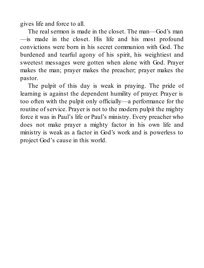gives life and force to all.

The real sermon is made in the closet. The man—God's man —is made in the closet. His life and his most profound convictions were born in his secret communion with God. The burdened and tearful agony of his spirit, his weightiest and sweetest messages were gotten when alone with God. Prayer makes the man; prayer makes the preacher; prayer makes the pastor.

The pulpit of this day is weak in praying. The pride of learning is against the dependent humility of prayer. Prayer is too often with the pulpit only officially—a performance for the routine of service. Prayer is not to the modern pulpit the mighty force it was in Paul's life or Paul's ministry. Every preacher who does not make prayer a mighty factor in his own life and ministry is weak as a factor in God's work and is powerless to project God's cause in this world.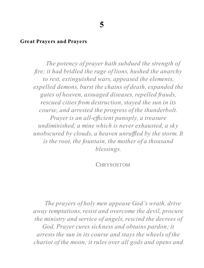#### **Great Prayers and Prayers**

*The potency of prayer hath subdued the strength of fire; it had bridled the rage of lions, hushed the anarchy to rest, extinguished wars, appeased the elements, expelled demons, burst the chains of death, expanded the gates of heaven, assuaged diseases, repelled frauds, rescued cities from destruction, stayed the sun in its course, and arrested the progress of the thunderbolt. Prayer is an all-ef icient panoply, a treasure undiminished, a mine which is never exhausted, a sky unobscured by clouds, a heaven unruf led by the storm. It is the root, the fountain, the mother of a thousand blessings.*

#### **CHRYSOSTOM**

*The prayers of holy men appease God's wrath, drive away temptations, resist and overcome the devil, procure the ministry and service of angels, rescind the decrees of God. Prayer cures sickness and obtains pardon; it arrests the sun in its course and stays the wheels of the chariot of the moon; it rules over all gods and opens and*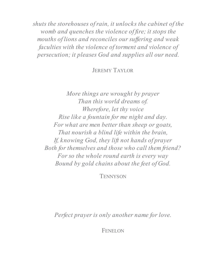*shuts the storehouses ofrain, it unlocks the cabinet of the womb and quenches the violence of fire; it stops the mouths of lions and reconciles our suf ering and weak faculties with the violence of torment and violence of persecution; it pleases God and supplies all our need.*

#### JEREMY TAYLOR

*More things are wrought by prayer Than this world dreams of. Wherefore, let thy voice Rise like a fountain for me night and day. For what are men better than sheep or goats, That nourish a blind life within the brain, If, knowing God, they lift not hands of prayer Both for themselves and those who call them friend? For so the whole round earth is every way Bound by gold chains about the feet of God.*

**TENNYSON** 

*Perfect prayer is only another name for love.*

FENELON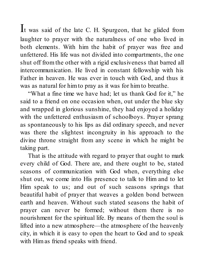I<sup>t</sup> was said of the late C. H. Spurgeon, that he glided from laughter to prayer with the naturalness of one who lived in both elements. With him the habit of prayer was free and unfettered. His life was not divided into compartments, the one shut off from the other with a rigid exclusiveness that barred all intercommunication. He lived in constant fellowship with his Father in heaven. He was ever in touch with God, and thus it was as natural for himto pray as it was for himto breathe.

"What a fine time we have had; let us thank God for it," he said to a friend on one occasion when, out under the blue sky and wrapped in glorious sunshine, they had enjoyed a holiday with the unfettered enthusiasm of schoolboys. Prayer sprang as spontaneously to his lips as did ordinary speech, and never was there the slightest incongruity in his approach to the divine throne straight from any scene in which he might be taking part.

That is the attitude with regard to prayer that ought to mark every child of God. There are, and there ought to be, stated seasons of communication with God when, everything else shut out, we come into His presence to talk to Him and to let Him speak to us; and out of such seasons springs that beautiful habit of prayer that weaves a golden bond between earth and heaven. Without such stated seasons the habit of prayer can never be formed; without them there is no nourishment for the spiritual life. By means of them the soul is lifted into a new atmosphere—the atmosphere of the heavenly city, in which it is easy to open the heart to God and to speak with Himas friend speaks with friend.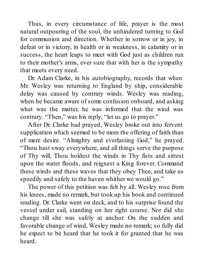Thus, in every circumstance of life, prayer is the most natural outpouring of the soul, the unhindered turning to God for communion and direction. Whether in sorrow or in joy, in defeat or in victory, in health or in weakness, in calamity or in success, the heart leaps to meet with God just as children run to their mother's arms, ever sure that with her is the sympathy that meets every need.

Dr. Adam Clarke, in his autobiography, records that when Mr. Wesley was returning to England by ship, considerable delay was caused by contrary winds. Wesley was reading, when he became aware of some confusion onboard, and asking what was the matter, he was informed that the wind was contrary. "Then," was his reply, "let us go to prayer."

After Dr. Clarke had prayed, Wesley broke out into fervent supplication which seemed to be more the offering of faith than of mere desire. "Almighty and everlasting God," he prayed. "Thou hast sway everywhere, and all things serve the purpose of Thy will, Thou holdest the winds in Thy fists and sittest upon the water floods, and reignest a King forever. Command these winds and these waves that they obey Thee, and take us speedily and safely to the haven whither we would go."

The power of this petition was felt by all. Wesley rose from his knees, made no remark, but took up his book and continued reading. Dr. Clarke went on deck, and to his surprise found the vessel under sail, standing on her right course. Nor did she change till she was safely at anchor. On the sudden and favorable change of wind, Wesley made no remark; so fully did he expect to be heard that he took it for granted that he was heard.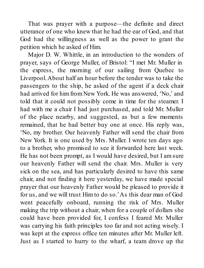That was prayer with a purpose—the definite and direct utterance of one who knew that he had the ear of God, and that God had the willingness as well as the power to grant the petition which he asked of Him.

Major D. W. Whittle, in an introduction to the wonders of prayer, says of George Muller, of Bristol: "I met Mr. Muller in the express, the morning of our sailing from Quebec to Liverpool.About half an hour before the tender was to take the passengers to the ship, he asked of the agent if a deck chair had arrived for him from New York. He was answered, 'No,' and told that it could not possibly come in time for the steamer. I had with me a chair I had just purchased, and told Mr. Muller of the place nearby, and suggested, as but a few moments remained, that he had better buy one at once. His reply was, 'No, my brother. Our heavenly Father will send the chair from New York. It is one used by Mrs. Muller. I wrote ten days ago to a brother, who promised to see it forwarded here last week. He has not been prompt, as I would have desired, but I am sure our heavenly Father will send the chair. Mrs. Muller is very sick on the sea, and has particularly desired to have this same chair, and not finding it here yesterday, we have made special prayer that our heavenly Father would be pleased to provide it for us, and we will trust Him to do so.'As this dear man of God went peacefully onboard, running the risk of Mrs. Muller making the trip without a chair, when for a couple of dollars she could have been provided for, I confess I feared Mr. Muller was carrying his faith principles too far and not acting wisely. I was kept at the express office ten minutes after Mr. Muller left. Just as I started to hurry to the wharf, a team drove up the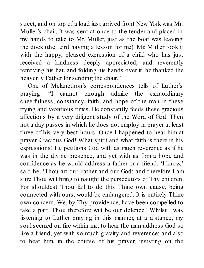street, and on top of a load just arrived front New York was Mr. Muller's chair. It was sent at once to the tender and placed in my hands to take to Mr. Muller, just as the boat was leaving the dock (the Lord having a lesson for me). Mr. Muller took it with the happy, pleased expression of a child who has just received a kindness deeply appreciated, and reverently removing his hat, and folding his hands over it, he thanked the heavenly Father for sending the chair."

One of Melancthon's correspondences tells of Luther's praying: "I cannot enough admire the extraordinary cheerfulness, constancy, faith, and hope of the man in these trying and vexatious times. He constantly feeds these gracious affections by a very diligent study of the Word of God. Then not a day passes in which he does not employ in prayer at least three of his very best hours. Once I happened to hear him at prayer. Gracious God! What spirit and what faith is there in his expressions! He petitions God with as much reverence as if he was in the divine presence, and yet with as firm a hope and confidence as he would address a father or a friend. 'I know,' said he, 'Thou art our Father and our God; and therefore I am sure Thou wilt bring to naught the persecutors of Thy children. For shouldest Thou fail to do this Thine own cause, being connected with ours, would be endangered. It is entirely Thine own concern. We, by Thy providence, have been compelled to take a part. Thou therefore wilt be our defence.' Whilst I was listening to Luther praying in this manner, at a distance, my soul seemed on fire within me, to hear the man address God so like a friend, yet with so much gravity and reverence; and also to hear him, in the course of his prayer, insisting on the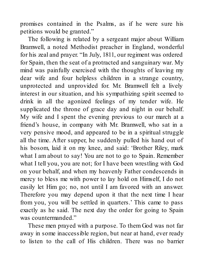promises contained in the Psalms, as if he were sure his petitions would be granted."

The following is related by a sergeant major about William Bramwell, a noted Methodist preacher in England, wonderful for his zeal and prayer. "In July, 1811, our regiment was ordered for Spain, then the seat of a protracted and sanguinary war. My mind was painfully exercised with the thoughts of leaving my dear wife and four helpless children in a strange country, unprotected and unprovided for. Mr. Bramwell felt a lively interest in our situation, and his sympathizing spirit seemed to drink in all the agonized feelings of my tender wife. He supplicated the throne of grace day and night in our behalf. My wife and I spent the evening previous to our march at a friend's house, in company with Mr. Bramwell, who sat in a very pensive mood, and appeared to be in a spiritual struggle all the time. After supper, he suddenly pulled his hand out of his bosom, laid it on my knee, and said: 'Brother Riley, mark what I am about to say! You are not to go to Spain. Remember what I tell you, you are not; for I have been wrestling with God on your behalf, and when my heavenly Father condescends in mercy to bless me with power to lay hold on Himself, I do not easily let Him go; no, not until I am favored with an answer. Therefore you may depend upon it that the next time I hear from you, you will be settled in quarters.' This came to pass exactly as he said. The next day the order for going to Spain was countermanded."

These men prayed with a purpose. To them God was not far away in some inaccessible region, but near at hand, ever ready to listen to the call of His children. There was no barrier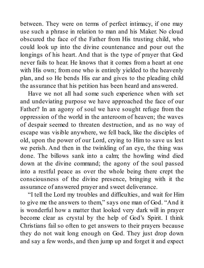between. They were on terms of perfect intimacy, if one may use such a phrase in relation to man and his Maker. No cloud obscured the face of the Father from His trusting child, who could look up into the divine countenance and pour out the longings of his heart. And that is the type of prayer that God never fails to hear. He knows that it comes from a heart at one with His own; from one who is entirely vielded to the heavenly plan, and so He bends His ear and gives to the pleading child the assurance that his petition has been heard and answered.

Have we not all had some such experience when with set and undeviating purpose we have approached the face of our Father? In an agony of soul we have sought refuge from the oppression of the world in the anteroom of heaven; the waves of despair seemed to threaten destruction, and as no way of escape was visible anywhere, we fell back, like the disciples of old, upon the power of our Lord, crying to Him to save us lest we perish. And then in the twinkling of an eye, the thing was done. The billows sank into a calm; the howling wind died down at the divine command; the agony of the soul passed into a restful peace as over the whole being there crept the consciousness of the divine presence, bringing with it the assurance of answered prayer and sweet deliverance.

"I tell the Lord my troubles and difficulties, and wait for Him to give me the answers to them," says one man of God. "And it is wonderful how a matter that looked very dark will in prayer become clear as crystal by the help of God's Spirit. I think Christians fail so often to get answers to their prayers because they do not wait long enough on God. They just drop down and say a few words, and then jump up and forget it and expect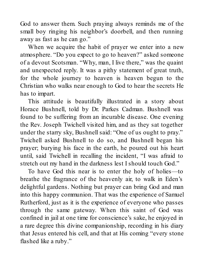God to answer them. Such praying always reminds me of the small boy ringing his neighbor's doorbell, and then running away as fast as he can go."

When we acquire the habit of prayer we enter into a new atmosphere. "Do you expect to go to heaven?" asked someone of a devout Scotsman. "Why, man, I live there," was the quaint and unexpected reply. It was a pithy statement of great truth, for the whole journey to heaven is heaven begun to the Christian who walks near enough to God to hear the secrets He has to impart.

This attitude is beautifully illustrated in a story about Horace Bushnell, told by Dr. Parkes Cadman. Bushnell was found to be suffering from an incurable disease. One evening the Rev. Joseph Twichell visited him, and as they sat together under the starry sky, Bushnell said: "One of us ought to pray." Twichell asked Bushnell to do so, and Bushnell began his prayer; burying his face in the earth, he poured out his heart until, said Twichell in recalling the incident, "I was afraid to stretch out my hand in the darkness lest I should touch God."

To have God this near is to enter the holy of holies—to breathe the fragrance of the heavenly air, to walk in Eden's delightful gardens. Nothing but prayer can bring God and man into this happy communion. That was the experience of Samuel Rutherford, just as it is the experience of everyone who passes through the same gateway. When this saint of God was confined in jail at one time for conscience's sake, he enjoyed in a rare degree this divine companionship, recording in his diary that Jesus entered his cell, and that at His coming "every stone flashed like a ruby."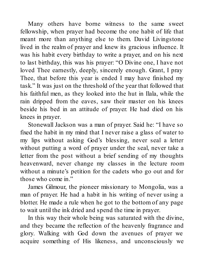Many others have borne witness to the same sweet fellowship, when prayer had become the one habit of life that meant more than anything else to them. David Livingstone lived in the realm of prayer and knew its gracious influence. It was his habit every birthday to write a prayer, and on his next to last birthday, this was his prayer: "O Divine one, I have not loved Thee earnestly, deeply, sincerely enough. Grant, I pray Thee, that before this year is ended I may have finished my task." It was just on the threshold of the year that followed that his faithful men, as they looked into the hut in Ilala, while the rain dripped from the eaves, saw their master on his knees beside his bed in an attitude of prayer. He had died on his knees in prayer.

Stonewall Jackson was a man of prayer. Said he: "I have so fixed the habit in my mind that I never raise a glass of water to my lips without asking God's blessing, never seal a letter without putting a word of prayer under the seal, never take a letter from the post without a brief sending of my thoughts heavenward, never change my classes in the lecture room without a minute's petition for the cadets who go out and for those who come in."

James Gilmour, the pioneer missionary to Mongolia, was a man of prayer. He had a habit in his writing of never using a blotter. He made a rule when he got to the bottom of any page to wait until the ink dried and spend the time in prayer.

In this way their whole being was saturated with the divine, and they became the reflection of the heavenly fragrance and glory. Walking with God down the avenues of prayer we acquire something of His likeness, and unconsciously we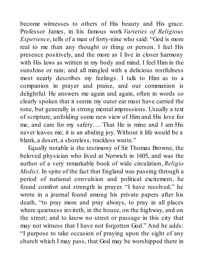become witnesses to others of His beauty and His grace. Professor James, in his famous work *Varieties of Religious Experience*, tells of a man of forty-nine who said: "God is more real to me than any thought or thing or person. I feel His presence positively, and the more as I live in closer harmony with His laws as written in my body and mind. I feel Him in the sunshine or rain; and all mingled with a delicious restfulness most nearly describes my feelings. I talk to Him as to a companion in prayer and praise, and our communion is delightful. He answers me again and again, often in words so clearly spoken that it seems my outer ear must have carried the tone, but generally in strong mental impressions. Usually a text of scripture, unfolding some new view of Him and His love for me, and care for my safety…. That He is mine and I am His never leaves me; it is an abiding joy. Without it life would be a blank, a desert, a shoreless, trackless waste."

Equally notable is the testimony of Sir Thomas Browne, the beloved physician who lived at Norwich in 1605, and was the author of a very remarkable book of wide circulation, *Religio Medici.* In spite of the fact that England was passing through a period of national convulsion and political excitement, he found comfort and strength in prayer. "I have resolved," he wrote in a journal found among his private papers after his death, "to pray more and pray always, to pray in all places where quietness inviteth, in the house, on the highway, and on the street; and to know no street or passage in this city that may not witness that I have not forgotten God." And he adds: "I purpose to take occasion of praying upon the sight of any church which I may pass, that God may be worshipped there in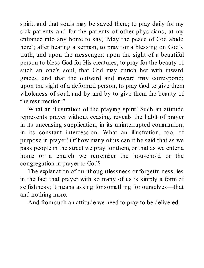spirit, and that souls may be saved there; to pray daily for my sick patients and for the patients of other physicians; at my entrance into any home to say, 'May the peace of God abide here'; after hearing a sermon, to pray for a blessing on God's truth, and upon the messenger; upon the sight of a beautiful person to bless God for His creatures, to pray for the beauty of such an one's soul, that God may enrich her with inward graces, and that the outward and inward may correspond; upon the sight of a deformed person, to pray God to give them wholeness of soul, and by and by to give them the beauty of the resurrection."

What an illustration of the praying spirit! Such an attitude represents prayer without ceasing, reveals the habit of prayer in its unceasing supplication, in its uninterrupted communion, in its constant intercession. What an illustration, too, of purpose in prayer! Of how many of us can it be said that as we pass people in the street we pray for them, or that as we enter a home or a church we remember the household or the congregation in prayer to God?

The explanation of our thoughtlessness or forgetfulness lies in the fact that prayer with so many of us is simply a form of selfishness; it means asking for something for ourselves—that and nothing more.

And fromsuch an attitude we need to pray to be delivered.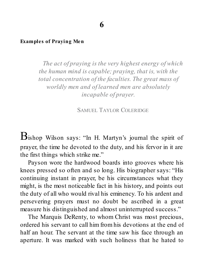**Examples of Praying Men**

*The act of praying is the very highest energy of which the human mind is capable; praying, that is, with the total concentration of the faculties. The great mass of worldly men and of learned men are absolutely incapable of prayer.*

SAMUEL TAYLOR COLERIDGE

Bishop Wilson says: "In H. Martyn's journal the spirit of prayer, the time he devoted to the duty, and his fervor in it are the first things which strike me."

Payson wore the hardwood boards into grooves where his knees pressed so often and so long. His biographer says: "His continuing instant in prayer, be his circumstances what they might, is the most noticeable fact in his history, and points out the duty of all who would rival his eminency. To his ardent and persevering prayers must no doubt be ascribed in a great measure his distinguished and almost uninterrupted success."

The Marquis DeRenty, to whom Christ was most precious, ordered his servant to call him from his devotions at the end of half an hour. The servant at the time saw his face through an aperture. It was marked with such holiness that he hated to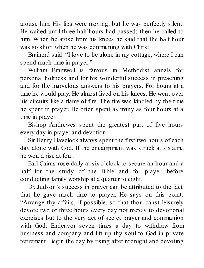arouse him. His lips were moving, but he was perfectly silent. He waited until three half hours had passed; then he called to him. When he arose from his knees he said that the half hour was so short when he was communing with Christ.

Brainerd said: "I love to be alone in my cottage, where I can spend much time in prayer."

William Bramwell is famous in Methodist annals for personal holiness and for his wonderful success in preaching and for the marvelous answers to his prayers. For hours at a time he would pray. He almost lived on his knees. He went over his circuits like a flame of fire. The fire was kindled by the time he spent in prayer. He often spent as many as four hours at a time in prayer.

Bishop Andrewes spent the greatest part of five hours every day in prayer and devotion.

Sir Henry Havelock always spent the first two hours of each day alone with God. If the encampment was struck at six a.m., he would rise at four.

Earl Cairns rose daily at six o'clock to secure an hour and a half for the study of the Bible and for prayer, before conducting family worship at a quarter to eight.

Dr. Judson's success in prayer can be attributed to the fact that he gave much time to prayer. He says on this point: "Arrange thy affairs, if possible, so that thou canst leisurely devote two or three hours every day not merely to devotional exercises but to the very act of secret prayer and communion with God. Endeavor seven times a day to withdraw from business and company and lift up thy soul to God in private retirement. Begin the day by rising after midnight and devoting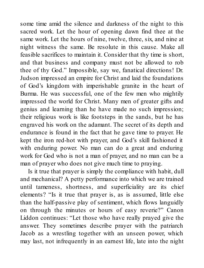some time amid the silence and darkness of the night to this sacred work. Let the hour of opening dawn find thee at the same work. Let the hours of nine, twelve, three, six, and nine at night witness the same. Be resolute in this cause. Make all feasible sacrifices to maintain it. Consider that thy time is short, and that business and company must not be allowed to rob thee of thy God." Impossible, say we, fanatical directions! Dr. Judson impressed an empire for Christ and laid the foundations of God's kingdom with imperishable granite in the heart of Burma. He was successful, one of the few men who mightily impressed the world for Christ. Many men of greater gifts and genius and learning than he have made no such impression; their religious work is like footsteps in the sands, but he has engraved his work on the adamant. The secret of its depth and endurance is found in the fact that he gave time to prayer. He kept the iron red-hot with prayer, and God's skill fashioned it with enduring power. No man can do a great and enduring work for God who is not a man of prayer, and no man can be a man of prayer who does not give much time to praying.

Is it true that prayer is simply the compliance with habit, dull and mechanical? A petty performance into which we are trained until tameness, shortness, and superficiality are its chief elements? "Is it true that prayer is, as is assumed, little else than the half-passive play of sentiment, which flows languidly on through the minutes or hours of easy reverie?" Canon Liddon continues: "Let those who have really prayed give the answer. They sometimes describe prayer with the patriarch Jacob as a wrestling together with an unseen power, which may last, not infrequently in an earnest life, late into the night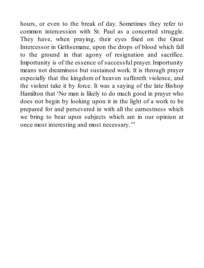hours, or even to the break of day. Sometimes they refer to common intercession with St. Paul as a concerted struggle. They have, when praying, their eyes fixed on the Great Intercessor in Gethsemane, upon the drops of blood which fall to the ground in that agony of resignation and sacrifice. Importunity is of the essence of successful prayer. Importunity means not dreaminess but sustained work. It is through prayer especially that the kingdom of heaven suffereth violence, and the violent take it by force. It was a saying of the late Bishop Hamilton that 'No man is likely to do much good in prayer who does not begin by looking upon it in the light of a work to be prepared for and persevered in with all the earnestness which we bring to bear upon subjects which are in our opinion at once most interesting and most necessary.'"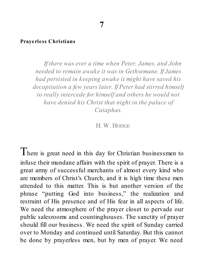#### **Prayerless Christians**

*If there was ever a time when Peter, James, and John needed to remain awake it was in Gethsemane. If James had persisted in keeping awake it might have saved his decapitation a few years later. If Peter had stirred himself to really intercede for himself and others he would not have denied his Christ that night in the palace of Caiaphas.*

H. W. HODGE

There is great need in this day for Christian businessmen to infuse their mundane affairs with the spirit of prayer. There is a great army of successful merchants of almost every kind who are members of Christ's Church, and it is high time these men attended to this matter. This is but another version of the phrase "putting God into business," the realization and restraint of His presence and of His fear in all aspects of life. We need the atmosphere of the prayer closet to pervade our public salesrooms and countinghouses. The sanctity of prayer should fill our business. We need the spirit of Sunday carried over to Monday and continued until Saturday. But this cannot be done by prayerless men, but by men of prayer. We need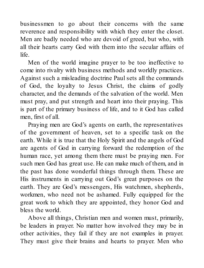businessmen to go about their concerns with the same reverence and responsibility with which they enter the closet. Men are badly needed who are devoid of greed, but who, with all their hearts carry God with them into the secular affairs of life.

Men of the world imagine prayer to be too ineffective to come into rivalry with business methods and worldly practices. Against such a misleading doctrine Paul sets all the commands of God, the loyalty to Jesus Christ, the claims of godly character, and the demands of the salvation of the world. Men must pray, and put strength and heart into their praying. This is part of the primary business of life, and to it God has called men, first of all.

Praying men are God's agents on earth, the representatives of the government of heaven, set to a specific task on the earth. While it is true that the Holy Spirit and the angels of God are agents of God in carrying forward the redemption of the human race, yet among them there must be praying men. For such men God has great use. He can make much of them, and in the past has done wonderful things through them. These are His instruments in carrying out God's great purposes on the earth. They are God's messengers, His watchmen, shepherds, workmen, who need not be ashamed. Fully equipped for the great work to which they are appointed, they honor God and bless the world.

Above all things, Christian men and women must, primarily, be leaders in prayer. No matter how involved they may be in other activities, they fail if they are not examples in prayer. They must give their brains and hearts to prayer. Men who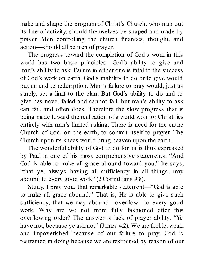make and shape the program of Christ's Church, who map out its line of activity, should themselves be shaped and made by prayer. Men controlling the church finances, thought, and action—should all be men of prayer.

The progress toward the completion of God's work in this world has two basic principles—God's ability to give and man's ability to ask. Failure in either one is fatal to the success of God's work on earth. God's inability to do or to give would put an end to redemption. Man's failure to pray would, just as surely, set a limit to the plan. But God's ability to do and to give has never failed and cannot fail; but man's ability to ask can fail, and often does. Therefore the slow progress that is being made toward the realization of a world won for Christ lies entirely with man's limited asking. There is need for the entire Church of God, on the earth, to commit itself to prayer. The Church upon its knees would bring heaven upon the earth.

The wonderful ability of God to do for us is thus expressed by Paul in one of his most comprehensive statements, "And God is able to make all grace abound toward you," he says, "that ye, always having all sufficiency in all things, may abound to every good work" (2 Corinthians 9:8).

Study, I pray you, that remarkable statement—"God is able to make all grace abound." That is, He is able to give such sufficiency, that we may abound—overflow—to every good work. Why are we not more fully fashioned after this overflowing order? The answer is lack of prayer ability. "Ye have not, because ye ask not" (James 4:2). We are feeble, weak, and impoverished because of our failure to pray. God is restrained in doing because we are restrained by reason of our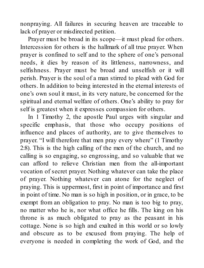nonpraying. All failures in securing heaven are traceable to lack of prayer or misdirected petition.

Prayer must be broad in its scope—it must plead for others. Intercession for others is the hallmark of all true prayer. When prayer is confined to self and to the sphere of one's personal needs, it dies by reason of its littleness, narrowness, and selfishness. Prayer must be broad and unselfish or it will perish. Prayer is the soul of a man stirred to plead with God for others. In addition to being interested in the eternal interests of one's own soul it must, in its very nature, be concerned for the spiritual and eternal welfare of others. One's ability to pray for self is greatest when it expresses compassion for others.

In 1 Timothy 2, the apostle Paul urges with singular and specific emphasis, that those who occupy positions of influence and places of authority, are to give themselves to prayer. "I will therefore that men pray every where" (1 Timothy 2:8). This is the high calling of the men of the church, and no calling is so engaging, so engrossing, and so valuable that we can afford to relieve Christian men from the all-important vocation of secret prayer. Nothing whatever can take the place of prayer. Nothing whatever can atone for the neglect of praying. This is uppermost, first in point of importance and first in point of time. No man is so high in position, or in grace, to be exempt from an obligation to pray. No man is too big to pray, no matter who he is, nor what office he fills. The king on his throne is as much obligated to pray as the peasant in his cottage. None is so high and exalted in this world or so lowly and obscure as to be excused from praying. The help of everyone is needed in completing the work of God, and the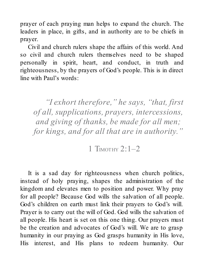prayer of each praying man helps to expand the church. The leaders in place, in gifts, and in authority are to be chiefs in prayer.

Civil and church rulers shape the affairs of this world. And so civil and church rulers themselves need to be shaped personally in spirit, heart, and conduct, in truth and righteousness, by the prayers of God's people. This is in direct line with Paul's words:

*"I exhort therefore," he says, "that, first of all, supplications, prayers, intercessions, and giving of thanks, be made for all men; for kings, and for all that are in authority."*

# 1 T $_{\text{MOTHV}}$   $2 \cdot 1 - 2$

It is a sad day for righteousness when church politics, instead of holy praying, shapes the administration of the kingdom and elevates men to position and power. Why pray for all people? Because God wills the salvation of all people. God's children on earth must link their prayers to God's will. Prayer is to carry out the will of God. God wills the salvation of all people. His heart is set on this one thing. Our prayers must be the creation and advocates of God's will. We are to grasp humanity in our praying as God grasps humanity in His love, His interest, and His plans to redeem humanity. Our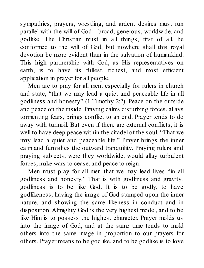sympathies, prayers, wrestling, and ardent desires must run parallel with the will of God—broad, generous, worldwide, and godlike. The Christian must in all things, first of all, be conformed to the will of God, but nowhere shall this royal devotion be more evident than in the salvation of humankind. This high partnership with God, as His representatives on earth, is to have its fullest, richest, and most efficient application in prayer for all people.

Men are to pray for all men, especially for rulers in church and state, "that we may lead a quiet and peaceable life in all godliness and honesty" (1 Timothy 2:2). Peace on the outside and peace on the inside. Praying calms disturbing forces, allays tormenting fears, brings conflict to an end. Prayer tends to do away with turmoil. But even if there are external conflicts, it is well to have deep peace within the citadel of the soul. "That we may lead a quiet and peaceable life." Prayer brings the inner calm and furnishes the outward tranquility. Praying rulers and praying subjects, were they worldwide, would allay turbulent forces, make wars to cease, and peace to reign.

Men must pray for all men that we may lead lives "in all godliness and honesty." That is with godliness and gravity. godliness is to be like God. It is to be godly, to have godlikeness, having the image of God stamped upon the inner nature, and showing the same likeness in conduct and in disposition. Almighty God is the very highest model, and to be like Him is to possess the highest character. Prayer molds us into the image of God, and at the same time tends to mold others into the same image in proportion to our prayers for others. Prayer means to be godlike, and to be godlike is to love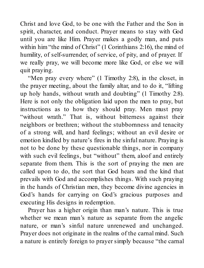Christ and love God, to be one with the Father and the Son in spirit, character, and conduct. Prayer means to stay with God until you are like Him. Prayer makes a godly man, and puts within him "the mind of Christ" (1 Corinthians 2:16), the mind of humility, of self-surrender, of service, of pity, and of prayer. If we really pray, we will become more like God, or else we will quit praying.

"Men pray every where" (1 Timothy 2:8), in the closet, in the prayer meeting, about the family altar, and to do it, "lifting up holy hands, without wrath and doubting" (1 Timothy 2:8). Here is not only the obligation laid upon the men to pray, but instructions as to how they should pray. Men must pray "without wrath." That is, without bitterness against their neighbors or brethren; without the stubbornness and tenacity of a strong will, and hard feelings; without an evil desire or emotion kindled by nature's fires in the sinful nature. Praying is not to be done by these questionable things, nor in company with such evil feelings, but "without" them, aloof and entirely separate from them. This is the sort of praying the men are called upon to do, the sort that God hears and the kind that prevails with God and accomplishes things. With such praying in the hands of Christian men, they become divine agencies in God's hands for carrying on God's gracious purposes and executing His designs in redemption.

Prayer has a higher origin than man's nature. This is true whether we mean man's nature as separate from the angelic nature, or man's sinful nature unrenewed and unchanged. Prayer does not originate in the realms of the carnal mind. Such a nature is entirely foreign to prayer simply because "the carnal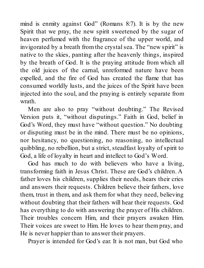mind is enmity against God" (Romans 8:7). It is by the new Spirit that we pray, the new spirit sweetened by the sugar of heaven perfumed with the fragrance of the upper world, and invigorated by a breath fromthe crystalsea. The "new spirit" is native to the skies, panting after the heavenly things, inspired by the breath of God. It is the praying attitude from which all the old juices of the carnal, unreformed nature have been expelled, and the fire of God has created the flame that has consumed worldly lusts, and the juices of the Spirit have been injected into the soul, and the praying is entirely separate from wrath.

Men are also to pray "without doubting." The Revised Version puts it, "without disputings." Faith in God, belief in God's Word, they must have "without question." No doubting or disputing must be in the mind. There must be no opinions, nor hesitancy, no questioning, no reasoning, no intellectual quibbling, no rebellion, but a strict, steadfast loyalty of spirit to God, a life of loyalty in heart and intellect to God's Word.

God has much to do with believers who have a living, transforming faith in Jesus Christ. These are God's children. A father loves his children, supplies their needs, hears their cries and answers their requests. Children believe their fathers, love them, trust in them, and ask them for what they need, believing without doubting that their fathers will hear their requests. God has everything to do with answering the prayer of His children. Their troubles concern Him, and their prayers awaken Him. Their voices are sweet to Him. He loves to hear them pray, and He is never happier than to answer their prayers.

Prayer is intended for God's ear. It is not man, but God who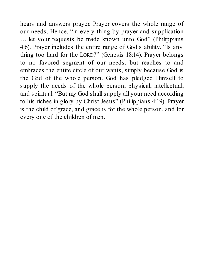hears and answers prayer. Prayer covers the whole range of our needs. Hence, "in every thing by prayer and supplication … let your requests be made known unto God" (Philippians 4:6). Prayer includes the entire range of God's ability. "Is any thing too hard for the LORD?" (Genesis 18:14). Prayer belongs to no favored segment of our needs, but reaches to and embraces the entire circle of our wants, simply because God is the God of the whole person. God has pledged Himself to supply the needs of the whole person, physical, intellectual, and spiritual. "But my God shallsupply all your need according to his riches in glory by Christ Jesus" (Philippians 4:19). Prayer is the child of grace, and grace is for the whole person, and for every one of the children of men.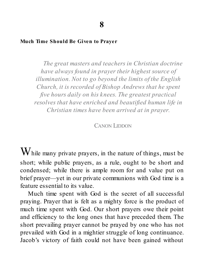#### **Much Time Should Be Given to Prayer**

*The great masters and teachers in Christian doctrine have always found in prayer their highest source of illumination. Not to go beyond the limits of the English Church, it is recorded of Bishop Andrews that he spent five hours daily on his knees. The greatest practical resolves that have enriched and beautified human life in Christian times have been arrived at in prayer.*

#### CANON LIDDON

While many private prayers, in the nature of things, must be short; while public prayers, as a rule, ought to be short and condensed; while there is ample room for and value put on brief prayer—yet in our private communions with God time is a feature essential to its value.

Much time spent with God is the secret of all successful praying. Prayer that is felt as a mighty force is the product of much time spent with God. Our short prayers owe their point and efficiency to the long ones that have preceded them. The short prevailing prayer cannot be prayed by one who has not prevailed with God in a mightier struggle of long continuance. Jacob's victory of faith could not have been gained without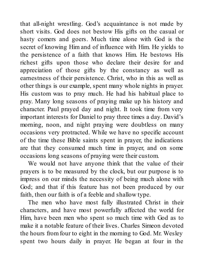that all-night wrestling. God's acquaintance is not made by short visits. God does not bestow His gifts on the casual or hasty comers and goers. Much time alone with God is the secret of knowing Him and of influence with Him. He yields to the persistence of a faith that knows Him. He bestows His richest gifts upon those who declare their desire for and appreciation of those gifts by the constancy as well as earnestness of their persistence. Christ, who in this as well as other things is our example, spent many whole nights in prayer. His custom was to pray much. He had his habitual place to pray. Many long seasons of praying make up his history and character. Paul prayed day and night. It took time from very important interests for Daniel to pray three times a day. David's morning, noon, and night praying were doubtless on many occasions very protracted. While we have no specific account of the time these Bible saints spent in prayer, the indications are that they consumed much time in prayer, and on some occasions long seasons of praying were their custom.

We would not have anyone think that the value of their prayers is to be measured by the clock, but our purpose is to impress on our minds the necessity of being much alone with God; and that if this feature has not been produced by our faith, then our faith is of a feeble and shallow type.

The men who have most fully illustrated Christ in their characters, and have most powerfully affected the world for Him, have been men who spent so much time with God as to make it a notable feature of their lives. Charles Simeon devoted the hours from four to eight in the morning to God. Mr. Wesley spent two hours daily in prayer. He began at four in the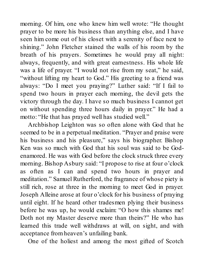morning. Of him, one who knew him well wrote: "He thought prayer to be more his business than anything else, and I have seen him come out of his closet with a serenity of face next to shining." John Fletcher stained the walls of his room by the breath of his prayers. Sometimes he would pray all night: always, frequently, and with great earnestness. His whole life was a life of prayer. "I would not rise from my seat." he said. "without lifting my heart to God." His greeting to a friend was always: "Do I meet you praying?" Luther said: "If I fail to spend two hours in prayer each morning, the devil gets the victory through the day. I have so much business I cannot get on without spending three hours daily in prayer." He had a motto: "He that has prayed well has studied well."

Archbishop Leighton was so often alone with God that he seemed to be in a perpetual meditation. "Prayer and praise were his business and his pleasure," says his biographer. Bishop Ken was so much with God that his soul was said to be Godenamored. He was with God before the clock struck three every morning. Bishop Asbury said: "I propose to rise at four o'clock as often as I can and spend two hours in prayer and meditation." Samuel Rutherford, the fragrance of whose piety is still rich, rose at three in the morning to meet God in prayer. Joseph Alleine arose at four o'clock for his business of praying until eight. If he heard other tradesmen plying their business before he was up, he would exclaim: "O how this shames me! Doth not my Master deserve more than theirs?" He who has learned this trade well withdraws at will, on sight, and with acceptance fromheaven's unfailing bank.

One of the holiest and among the most gifted of Scotch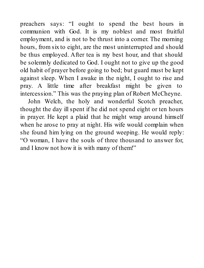preachers says: "I ought to spend the best hours in communion with God. It is my noblest and most fruitful employment, and is not to be thrust into a corner. The morning hours, from six to eight, are the most uninterrupted and should be thus employed. After tea is my best hour, and that should be solemnly dedicated to God. I ought not to give up the good old habit of prayer before going to bed; but guard must be kept against sleep. When I awake in the night, I ought to rise and pray. A little time after breakfast might be given to intercession." This was the praying plan of Robert McCheyne.

John Welch, the holy and wonderful Scotch preacher, thought the day ill spent if he did not spend eight or ten hours in prayer. He kept a plaid that he might wrap around himself when he arose to pray at night. His wife would complain when she found him lying on the ground weeping. He would reply: "O woman, I have the souls of three thousand to answer for, and I know not how it is with many of them!"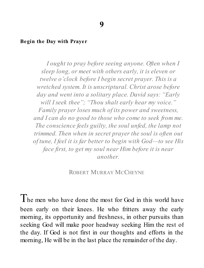#### **Begin the Day with Prayer**

*I ought to pray before seeing anyone. Often when I sleep long, or meet with others early, it is eleven or twelve o'clock before I begin secret prayer. This is a wretched system. It is unscriptural. Christ arose before day and went into a solitary place. David says: "Early will I seek thee"; "Thou shalt early hear my voice." Family prayer loses much of its power and sweetness, and I can do no good to those who come to seek from me. The conscience feels guilty, the soul unfed, the lamp not trimmed. Then when in secret prayer the soul is often out of tune, I feel it is far better to begin with God—to see His face first, to get my soul near Him before it is near another.*

## ROBERT MURRAY MCCHEYNE

The men who have done the most for God in this world have been early on their knees. He who fritters away the early morning, its opportunity and freshness, in other pursuits than seeking God will make poor headway seeking Him the rest of the day. If God is not first in our thoughts and efforts in the morning, He will be in the last place the remainder of the day.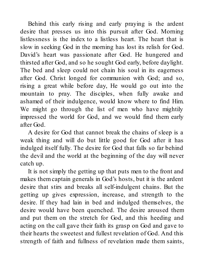Behind this early rising and early praying is the ardent desire that presses us into this pursuit after God. Morning listlessness is the index to a listless heart. The heart that is slow in seeking God in the morning has lost its relish for God. David's heart was passionate after God. He hungered and thirsted after God, and so he sought God early, before daylight. The bed and sleep could not chain his soul in its eagerness after God. Christ longed for communion with God; and so, rising a great while before day, He would go out into the mountain to pray. The disciples, when fully awake and ashamed of their indulgence, would know where to find Him. We might go through the list of men who have mightily impressed the world for God, and we would find them early after God.

A desire for God that cannot break the chains of sleep is a weak thing and will do but little good for God after it has indulged itself fully. The desire for God that falls so far behind the devil and the world at the beginning of the day will never catch up.

It is not simply the getting up that puts men to the front and makes themcaptain generals in God's hosts, but it is the ardent desire that stirs and breaks all self-indulgent chains. But the getting up gives expression, increase, and strength to the desire. If they had lain in bed and indulged themselves, the desire would have been quenched. The desire aroused them and put them on the stretch for God, and this heeding and acting on the call gave their faith its grasp on God and gave to their hearts the sweetest and fullest revelation of God. And this strength of faith and fullness of revelation made them saints,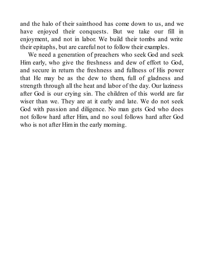and the halo of their sainthood has come down to us, and we have enjoyed their conquests. But we take our fill in enjoyment, and not in labor. We build their tombs and write their epitaphs, but are careful not to follow their examples.

We need a generation of preachers who seek God and seek Him early, who give the freshness and dew of effort to God, and secure in return the freshness and fullness of His power that He may be as the dew to them, full of gladness and strength through all the heat and labor of the day. Our laziness after God is our crying sin. The children of this world are far wiser than we. They are at it early and late. We do not seek God with passion and diligence. No man gets God who does not follow hard after Him, and no soul follows hard after God who is not after Him in the early morning.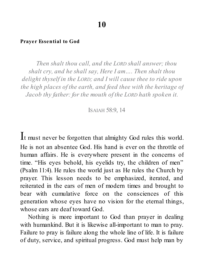#### **Prayer Essential to God**

*Then shalt thou call, and the LORD shall answer; thou shalt cry, and he shall say, Here I am…. Then shalt thou delight thyself in the LORD; and I will cause thee to ride upon the high places of the earth, and feed thee with the heritage of Jacob thy father: for the mouth of the LORD hath spoken it.*

### ISAIAH 58:9, 14

I<sup>t</sup> must never be forgotten that almighty God rules this world. He is not an absentee God. His hand is ever on the throttle of human affairs. He is everywhere present in the concerns of time. "His eyes behold, his eyelids try, the children of men" (Psalm 11:4). He rules the world just as He rules the Church by prayer. This lesson needs to be emphasized, iterated, and reiterated in the ears of men of modern times and brought to bear with cumulative force on the consciences of this generation whose eyes have no vision for the eternal things, whose ears are deaf toward God.

Nothing is more important to God than prayer in dealing with humankind. But it is likewise all-important to man to pray. Failure to pray is failure along the whole line of life. It is failure of duty, service, and spiritual progress. God must help man by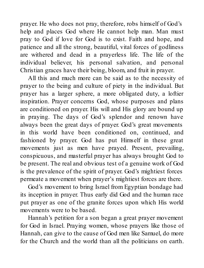prayer. He who does not pray, therefore, robs himself of God's help and places God where He cannot help man. Man must pray to God if love for God is to exist. Faith and hope, and patience and all the strong, beautiful, vital forces of godliness are withered and dead in a prayerless life. The life of the individual believer, his personal salvation, and personal Christian graces have their being, bloom, and fruit in prayer.

All this and much more can be said as to the necessity of prayer to the being and culture of piety in the individual. But prayer has a larger sphere, a more obligated duty, a loftier inspiration. Prayer concerns God, whose purposes and plans are conditioned on prayer. His will and His glory are bound up in praying. The days of God's splendor and renown have always been the great days of prayer. God's great movements in this world have been conditioned on, continued, and fashioned by prayer. God has put Himself in these great movements just as men have prayed. Present, prevailing, conspicuous, and masterful prayer has always brought God to be present. The real and obvious test of a genuine work of God is the prevalence of the spirit of prayer. God's mightiest forces permeate a movement when prayer's mightiest forces are there.

God's movement to bring Israel from Egyptian bondage had its inception in prayer. Thus early did God and the human race put prayer as one of the granite forces upon which His world movements were to be based.

Hannah's petition for a son began a great prayer movement for God in Israel. Praying women, whose prayers like those of Hannah, can give to the cause of God men like Samuel, do more for the Church and the world than all the politicians on earth.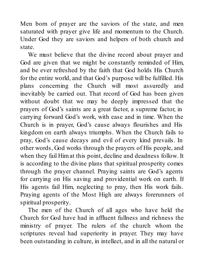Men born of prayer are the saviors of the state, and men saturated with prayer give life and momentum to the Church. Under God they are saviors and helpers of both church and state.

We must believe that the divine record about prayer and God are given that we might be constantly reminded of Him, and be ever refreshed by the faith that God holds His Church for the entire world, and that God's purpose will be fulfilled. His plans concerning the Church will most assuredly and inevitably be carried out. That record of God has been given without doubt that we may be deeply impressed that the prayers of God's saints are a great factor, a supreme factor, in carrying forward God's work, with ease and in time. When the Church is in prayer, God's cause always flourishes and His kingdom on earth always triumphs. When the Church fails to pray, God's cause decays and evil of every kind prevails. In other words, God works through the prayers of His people, and when they fail Himat this point, decline and deadness follow. It is according to the divine plans that spiritual prosperity comes through the prayer channel. Praying saints are God's agents for carrying on His saving and providential work on earth. If His agents fail Him, neglecting to pray, then His work fails. Praying agents of the Most High are always forerunners of spiritual prosperity.

The men of the Church of all ages who have held the Church for God have had in affluent fullness and richness the ministry of prayer. The rulers of the church whom the scriptures reveal had superiority in prayer. They may have been outstanding in culture, in intellect, and in all the natural or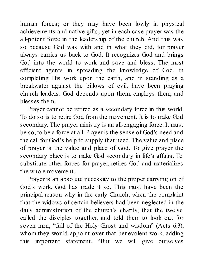human forces; or they may have been lowly in physical achievements and native gifts; yet in each case prayer was the all-potent force in the leadership of the church. And this was so because God was with and in what they did, for prayer always carries us back to God. It recognizes God and brings God into the world to work and save and bless. The most efficient agents in spreading the knowledge of God, in completing His work upon the earth, and in standing as a breakwater against the billows of evil, have been praying church leaders. God depends upon them, employs them, and blesses them.

Prayer cannot be retired as a secondary force in this world. To do so is to retire God from the movement. It is to make God secondary. The prayer ministry is an all-engaging force. It must be so, to be a force at all. Prayer is the sense of God's need and the call for God's help to supply that need. The value and place of prayer is the value and place of God. To give prayer the secondary place is to make God secondary in life's affairs. To substitute other forces for prayer, retires God and materializes the whole movement.

Prayer is an absolute necessity to the proper carrying on of God's work. God has made it so. This must have been the principal reason why in the early Church, when the complaint that the widows of certain believers had been neglected in the daily administration of the church's charity, that the twelve called the disciples together, and told them to look out for seven men, "full of the Holy Ghost and wisdom" (Acts 6:3), whom they would appoint over that benevolent work, adding this important statement, "But we will give ourselves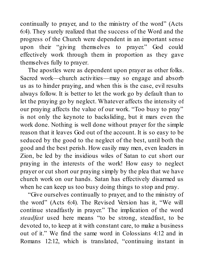continually to prayer, and to the ministry of the word" (Acts 6:4). They surely realized that the success of the Word and the progress of the Church were dependent in an important sense upon their "giving themselves to prayer." God could effectively work through them in proportion as they gave themselves fully to prayer.

The apostles were as dependent upon prayer as other folks. Sacred work—church activities—may so engage and absorb us as to hinder praying, and when this is the case, evil results always follow. It is better to let the work go by default than to let the praying go by neglect. Whatever affects the intensity of our praying affects the value of our work. "Too busy to pray" is not only the keynote to backsliding, but it mars even the work done. Nothing is well done without prayer for the simple reason that it leaves God out of the account. It is so easy to be seduced by the good to the neglect of the best, until both the good and the best perish. How easily may men, even leaders in Zion, be led by the insidious wiles of Satan to cut short our praying in the interests of the work! How easy to neglect prayer or cut short our praying simply by the plea that we have church work on our hands. Satan has effectively disarmed us when he can keep us too busy doing things to stop and pray.

"Give ourselves continually to prayer, and to the ministry of the word" (Acts 6:4). The Revised Version has it, "We will continue steadfastly in prayer." The implication of the word *steadfast* used here means "to be strong, steadfast, to be devoted to, to keep at it with constant care, to make a business out of it." We find the same word in Colossians 4:12 and in Romans 12:12, which is translated, "continuing instant in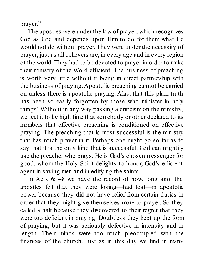prayer."

The apostles were under the law of prayer, which recognizes God as God and depends upon Him to do for them what He would not do without prayer. They were under the necessity of prayer, just as all believers are, in every age and in every region of the world. They had to be devoted to prayer in order to make their ministry of the Word efficient. The business of preaching is worth very little without it being in direct partnership with the business of praying.Apostolic preaching cannot be carried on unless there is apostolic praying. Alas, that this plain truth has been so easily forgotten by those who minister in holy things! Without in any way passing a criticism on the ministry, we feel it to be high time that somebody or other declared to its members that effective preaching is conditioned on effective praying. The preaching that is most successful is the ministry that has much prayer in it. Perhaps one might go so far as to say that it is the only kind that is successful. God can mightily use the preacher who prays. He is God's chosen messenger for good, whom the Holy Spirit delights to honor, God's efficient agent in saving men and in edifying the saints.

In Acts 6:1–8 we have the record of how, long ago, the apostles felt that they were losing—had lost—in apostolic power because they did not have relief from certain duties in order that they might give themselves more to prayer. So they called a halt because they discovered to their regret that they were too deficient in praying. Doubtless they kept up the form of praying, but it was seriously defective in intensity and in length. Their minds were too much preoccupied with the finances of the church. Just as in this day we find in many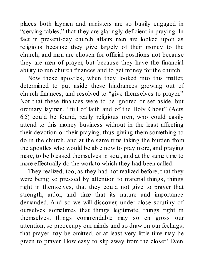places both laymen and ministers are so busily engaged in "serving tables," that they are glaringly deficient in praying. In fact in present-day church affairs men are looked upon as religious because they give largely of their money to the church, and men are chosen for official positions not because they are men of prayer, but because they have the financial ability to run church finances and to get money for the church.

Now these apostles, when they looked into this matter, determined to put aside these hindrances growing out of church finances, and resolved to "give themselves to prayer." Not that these finances were to be ignored or set aside, but ordinary laymen, "full of faith and of the Holy Ghost" (Acts 6:5) could be found, really religious men, who could easily attend to this money business without in the least affecting their devotion or their praying, thus giving them something to do in the church, and at the same time taking the burden from the apostles who would be able now to pray more, and praying more, to be blessed themselves in soul, and at the same time to more effectually do the work to which they had been called.

They realized, too, as they had not realized before, that they were being so pressed by attention to material things, things right in themselves, that they could not give to prayer that strength, ardor, and time that its nature and importance demanded. And so we will discover, under close scrutiny of ourselves sometimes that things legitimate, things right in themselves, things commendable may so en gross our attention, so preoccupy our minds and so draw on our feelings, that prayer may be omitted, or at least very little time may be given to prayer. How easy to slip away from the closet! Even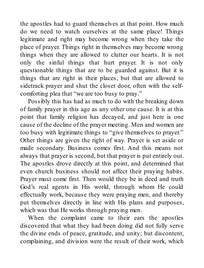the apostles had to guard themselves at that point. How much do we need to watch ourselves at the same place! Things legitimate and right may become wrong when they take the place of prayer. Things right in themselves may become wrong things when they are allowed to clutter our hearts. It is not only the sinful things that hurt prayer. It is not only questionable things that are to be guarded against. But it is things that are right in their places, but that are allowed to sidetrack prayer and shut the closet door, often with the selfcomforting plea that "we are too busy to pray."

Possibly this has had as much to do with the breaking down of family prayer in this age as any other one cause. It is at this point that family religion has decayed, and just here is one cause of the decline of the prayer meeting. Men and women are too busy with legitimate things to "give themselves to prayer." Other things are given the right of way. Prayer is set aside or made secondary. Business comes first. And this means not always that prayer is second, but that prayer is put entirely out. The apostles drove directly at this point, and determined that even church business should not affect their praying habits. Prayer must come first. Then would they be in deed and truth God's real agents in His world, through whom He could effectually work, because they were praying men, and thereby put themselves directly in line with His plans and purposes, which was that He works through praying men.

When the complaint came to their ears the apostles discovered that what they had been doing did not fully serve the divine ends of peace, gratitude, and unity; but discontent, complaining, and division were the result of their work, which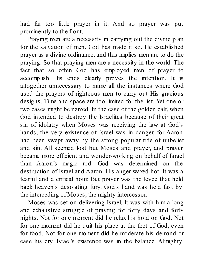had far too little prayer in it. And so prayer was put prominently to the front.

Praying men are a necessity in carrying out the divine plan for the salvation of men. God has made it so. He established prayer as a divine ordinance, and this implies men are to do the praying. So that praying men are a necessity in the world. The fact that so often God has employed men of prayer to accomplish His ends clearly proves the intention. It is altogether unnecessary to name all the instances where God used the prayers of righteous men to carry out His gracious designs. Time and space are too limited for the list. Yet one or two cases might be named. In the case of the golden calf, when God intended to destroy the Israelites because of their great sin of idolatry when Moses was receiving the law at God's hands, the very existence of Israel was in danger, for Aaron had been swept away by the strong popular tide of unbelief and sin. All seemed lost but Moses and prayer, and prayer became more efficient and wonder-working on behalf of Israel than Aaron's magic rod. God was determined on the destruction of Israel and Aaron. His anger waxed hot. It was a fearful and a critical hour. But prayer was the levee that held back heaven's desolating fury. God's hand was held fast by the interceding of Moses, the mighty intercessor.

Moses was set on delivering Israel. It was with him a long and exhaustive struggle of praying for forty days and forty nights. Not for one moment did he relax his hold on God. Not for one moment did he quit his place at the feet of God, even for food. Not for one moment did he moderate his demand or ease his cry. Israel's existence was in the balance. Almighty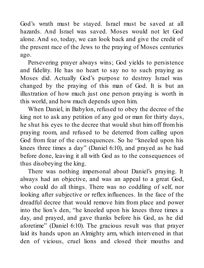God's wrath must be stayed. Israel must be saved at all hazards. And Israel was saved. Moses would not let God alone. And so, today, we can look back and give the credit of the present race of the Jews to the praying of Moses centuries ago.

Persevering prayer always wins; God yields to persistence and fidelity. He has no heart to say no to such praying as Moses did. Actually God's purpose to destroy Israel was changed by the praying of this man of God. It is but an illustration of how much just one person praying is worth in this world, and how much depends upon him.

When Daniel, in Babylon, refused to obey the decree of the king not to ask any petition of any god or man for thirty days, he shut his eyes to the decree that would shut him off from his praying room, and refused to be deterred from calling upon God from fear of the consequences. So he "kneeled upon his knees three times a day" (Daniel 6:10), and prayed as he had before done, leaving it all with God as to the consequences of thus disobeying the king.

There was nothing impersonal about Daniel's praying. It always had an objective, and was an appeal to a great God, who could do all things. There was no coddling of self, nor looking after subjective or reflex influences. In the face of the dreadful decree that would remove him from place and power into the lion's den, "he kneeled upon his knees three times a day, and prayed, and gave thanks before his God, as he did aforetime" (Daniel 6:10). The gracious result was that prayer laid its hands upon an Almighty arm, which intervened in that den of vicious, cruel lions and closed their mouths and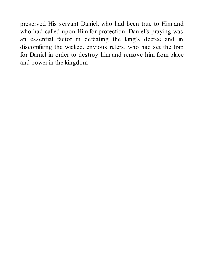preserved His servant Daniel, who had been true to Him and who had called upon Him for protection. Daniel's praying was an essential factor in defeating the king's decree and in discomfiting the wicked, envious rulers, who had set the trap for Daniel in order to destroy him and remove him from place and power in the kingdom.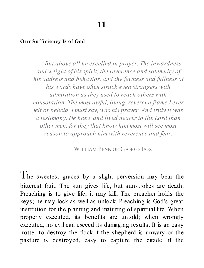## **Our Sufficiency Is of God**

*But above all he excelled in prayer. The inwardness and weight of his spirit, the reverence and solemnity of his address and behavior, and the fewness and fullness of his words have often struck even strangers with admiration as they used to reach others with consolation. The most awful, living, reverend frame I ever felt or beheld, I must say, was his prayer. And truly it was a testimony. He knew and lived nearer to the Lord than other men, for they that know him most will see most reason to approach him with reverence and fear.*

## WILLIAM PENN OF GEORGE FOX

The sweetest graces by a slight perversion may bear the bitterest fruit. The sun gives life, but sunstrokes are death. Preaching is to give life; it may kill. The preacher holds the keys; he may lock as well as unlock. Preaching is God's great institution for the planting and maturing of spiritual life. When properly executed, its benefits are untold; when wrongly executed, no evil can exceed its damaging results. It is an easy matter to destroy the flock if the shepherd is unwary or the pasture is destroyed, easy to capture the citadel if the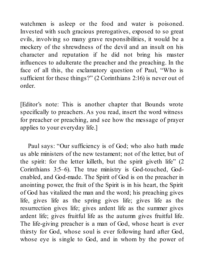watchmen is asleep or the food and water is poisoned. Invested with such gracious prerogatives, exposed to so great evils, involving so many grave responsibilities, it would be a mockery of the shrewdness of the devil and an insult on his character and reputation if he did not bring his master influences to adulterate the preacher and the preaching. In the face of all this, the exclamatory question of Paul, "Who is sufficient for these things?" (2 Corinthians 2:16) is never out of order.

[Editor's note: This is another chapter that Bounds wrote specifically to preachers. As you read, insert the word witness for preacher or preaching, and see how the message of prayer applies to your everyday life.]

Paul says: "Our sufficiency is of God; who also hath made us able ministers of the new testament; not of the letter, but of the spirit: for the letter killeth, but the spirit giveth life" (2 Corinthians 3:5–6). The true ministry is God-touched, Godenabled, and God-made. The Spirit of God is on the preacher in anointing power, the fruit of the Spirit is in his heart, the Spirit of God has vitalized the man and the word; his preaching gives life, gives life as the spring gives life; gives life as the resurrection gives life; gives ardent life as the summer gives ardent life; gives fruitful life as the autumn gives fruitful life. The life-giving preacher is a man of God, whose heart is ever thirsty for God, whose soul is ever following hard after God, whose eye is single to God, and in whom by the power of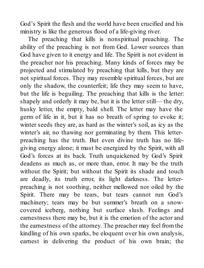God's Spirit the flesh and the world have been crucified and his ministry is like the generous flood of a life-giving river.

The preaching that kills is nonspiritual preaching. The ability of the preaching is not from God. Lower sources than God have given to it energy and life. The Spirit is not evident in the preacher nor his preaching. Many kinds of forces may be projected and stimulated by preaching that kills, but they are not spiritual forces. They may resemble spiritual forces, but are only the shadow, the counterfeit; life they may seem to have, but the life is beguiling. The preaching that kills is the letter: shapely and orderly it may be, but it is the letter still— the dry, husky letter, the empty, bald shell. The letter may have the germ of life in it, but it has no breath of spring to evoke it; winter seeds they are, as hard as the winter's soil, as icy as the winter's air, no thawing nor germinating by them. This letterpreaching has the truth. But even divine truth has no lifegiving energy alone; it must be energized by the Spirit, with all God's forces at its back. Truth unquickened by God's Spirit deadens as much as, or more than, error. It may be the truth without the Spirit; but without the Spirit its shade and touch are deadly, its truth error, its light darkness. The letterpreaching is not soothing, neither mellowed nor oiled by the Spirit. There may be tears, but tears cannot run God's machinery; tears may be but summer's breath on a snowcovered iceberg, nothing but surface slush. Feelings and earnestness there may be, but it is the emotion of the actor and the earnestness of the attorney. The preacher may feel fromthe kindling of his own sparks, be eloquent over his own analysis, earnest in delivering the product of his own brain; the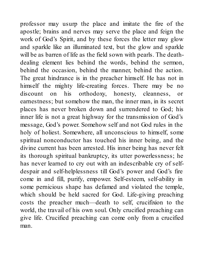professor may usurp the place and imitate the fire of the apostle; brains and nerves may serve the place and feign the work of God's Spirit, and by these forces the letter may glow and sparkle like an illuminated text, but the glow and sparkle will be as barren of life as the field sown with pearls. The deathdealing element lies behind the words, behind the sermon, behind the occasion, behind the manner, behind the action. The great hindrance is in the preacher himself. He has not in himself the mighty life-creating forces. There may be no<br>discount on his orthodoxy, honesty cleanness, or discount on his orthodoxy, honesty, cleanness, or earnestness; but somehow the man, the inner man, in its secret places has never broken down and surrendered to God; his inner life is not a great highway for the transmission of God's message, God's power. Somehow self and not God rules in the holy of holiest. Somewhere, all unconscious to himself, some spiritual nonconductor has touched his inner being, and the divine current has been arrested. His inner being has never felt its thorough spiritual bankruptcy, its utter powerlessness; he has never learned to cry out with an indescribable cry of selfdespair and self-helplessness till God's power and God's fire come in and fill, purify, empower. Self-esteem, self-ability in some pernicious shape has defamed and violated the temple, which should be held sacred for God. Life-giving preaching costs the preacher much—death to self, crucifixion to the world, the travail of his own soul. Only crucified preaching can give life. Crucified preaching can come only from a crucified man.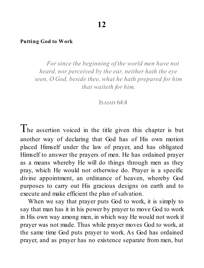## **Putting God to Work**

*For since the beginning of the world men have not heard, nor perceived by the ear, neither hath the eye seen, O God, beside thee, what he hath prepared for him that waiteth for him.*

## ISAIAH 64:4

The assertion voiced in the title given this chapter is but another way of declaring that God has of His own motion placed Himself under the law of prayer, and has obligated Himself to answer the prayers of men. He has ordained prayer as a means whereby He will do things through men as they pray, which He would not otherwise do. Prayer is a specific divine appointment, an ordinance of heaven, whereby God purposes to carry out His gracious designs on earth and to execute and make efficient the plan of salvation.

When we say that prayer puts God to work, it is simply to say that man has it in his power by prayer to move God to work in His own way among men, in which way He would not work if prayer was not made. Thus while prayer moves God to work, at the same time God puts prayer to work. As God has ordained prayer, and as prayer has no existence separate from men, but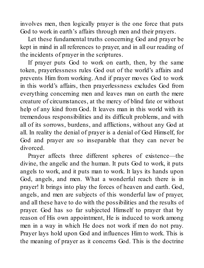involves men, then logically prayer is the one force that puts God to work in earth's affairs through men and their prayers.

Let these fundamental truths concerning God and prayer be kept in mind in all references to prayer, and in all our reading of the incidents of prayer in the scriptures.

If prayer puts God to work on earth, then, by the same token, prayerlessness rules God out of the world's affairs and prevents Him from working. And if prayer moves God to work in this world's affairs, then prayerlessness excludes God from everything concerning men and leaves man on earth the mere creature of circumstances, at the mercy of blind fate or without help of any kind from God. It leaves man in this world with its tremendous responsibilities and its difficult problems, and with all of its sorrows, burdens, and afflictions, without any God at all. In reality the denial of prayer is a denial of God Himself, for God and prayer are so inseparable that they can never be divorced.

Prayer affects three different spheres of existence—the divine, the angelic and the human. It puts God to work, it puts angels to work, and it puts man to work. It lays its hands upon God, angels, and men. What a wonderful reach there is in prayer! It brings into play the forces of heaven and earth. God, angels, and men are subjects of this wonderful law of prayer, and all these have to do with the possibilities and the results of prayer. God has so far subjected Himself to prayer that by reason of His own appointment, He is induced to work among men in a way in which He does not work if men do not pray. Prayer lays hold upon God and influences Him to work. This is the meaning of prayer as it concerns God. This is the doctrine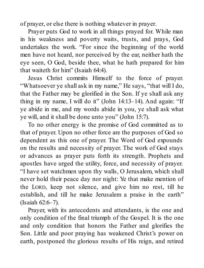of prayer, or else there is nothing whatever in prayer.

Prayer puts God to work in all things prayed for. While man in his weakness and poverty waits, trusts, and prays, God undertakes the work. "For since the beginning of the world men have not heard, nor perceived by the ear, neither hath the eye seen, O God, beside thee, what he hath prepared for him that waiteth for him" (Isaiah 64:4).

Jesus Christ commits Himself to the force of prayer. "Whatsoever ye shall ask in my name," He says, "that will I do, that the Father may be glorified in the Son. If ye shall ask any thing in my name, I will do it" (John 14:13–14). And again: "If ye abide in me, and my words abide in you, ye shall ask what ye will, and it shall be done unto you" (John 15:7).

To no other energy is the promise of God committed as to that of prayer. Upon no other force are the purposes of God so dependent as this one of prayer. The Word of God expounds on the results and necessity of prayer. The work of God stays or advances as prayer puts forth its strength. Prophets and apostles have urged the utility, force, and necessity of prayer. "I have set watchmen upon thy walls, O Jerusalem, which shall never hold their peace day nor night: Ye that make mention of the LORD, keep not silence, and give him no rest, till he establish, and till he make Jerusalem a praise in the earth" (Isaiah 62:6–7).

Prayer, with its antecedents and attendants, is the one and only condition of the final triumph of the Gospel. It is the one and only condition that honors the Father and glorifies the Son. Little and poor praying has weakened Christ's power on earth, postponed the glorious results of His reign, and retired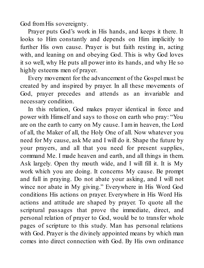God from His sovereignty.

Prayer puts God's work in His hands, and keeps it there. It looks to Him constantly and depends on Him implicitly to further His own cause. Prayer is but faith resting in, acting with, and leaning on and obeying God. This is why God loves it so well, why He puts all power into its hands, and why He so highly esteems men of prayer.

Every movement for the advancement of the Gospel must be created by and inspired by prayer. In all these movements of God, prayer precedes and attends as an invariable and necessary condition.

In this relation, God makes prayer identical in force and power with Himself and says to those on earth who pray: "You are on the earth to carry on My cause. I am in heaven, the Lord of all, the Maker of all, the Holy One of all. Now whatever you need for My cause, ask Me and I will do it. Shape the future by your prayers, and all that you need for present supplies, command Me. I made heaven and earth, and all things in them. Ask largely. Open thy mouth wide, and I will fill it. It is My work which you are doing. It concerns My cause. Be prompt and full in praying. Do not abate your asking, and I will not wince nor abate in My giving." Everywhere in His Word God conditions His actions on prayer. Everywhere in His Word His actions and attitude are shaped by prayer. To quote all the scriptural passages that prove the immediate, direct, and personal relation of prayer to God, would be to transfer whole pages of scripture to this study. Man has personal relations with God. Prayer is the divinely appointed means by which man comes into direct connection with God. By His own ordinance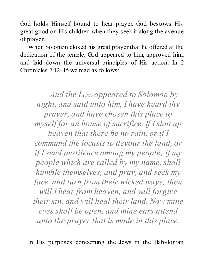God holds Himself bound to hear prayer. God bestows His great good on His children when they seek it along the avenue of prayer.

When Solomon closed his great prayer that he offered at the dedication of the temple, God appeared to him, approved him, and laid down the universal principles of His action. In 2 Chronicles 7:12–15 we read as follows:

*And the LORD appeared to Solomon by night, and said unto him, I have heard thy prayer, and have chosen this place to myself for an house of sacrifice. If I shut up*

*heaven that there be no rain, or if I command the locusts to devour the land, or if I send pestilence among my people; if my people which are called by my name, shall humble themselves, and pray, and seek my face, and turn from their wicked ways; then will I hear from heaven, and will forgive their sin, and will heal their land. Now mine eyes shall be open, and mine ears attend unto the prayer that is made in this place.*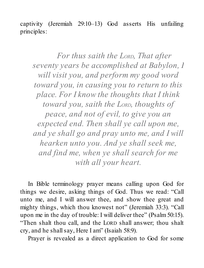captivity (Jeremiah 29:10–13) God asserts His unfailing principles:

*For thus saith the LORD, That after seventy years be accomplished at Babylon, I will visit you, and perform my good word toward you, in causing you to return to this place. For I know the thoughts that I think toward you, saith the LORD, thoughts of peace, and not of evil, to give you an expected end. Then shall ye call upon me, and ye shall go and pray unto me, and I will hearken unto you. And ye shall seek me, and find me, when ye shall search for me with all your heart.*

In Bible terminology prayer means calling upon God for things we desire, asking things of God. Thus we read: "Call unto me, and I will answer thee, and show thee great and mighty things, which thou knowest not" (Jeremiah 33:3). "Call upon me in the day of trouble: I will deliver thee" (Psalm 50:15). "Then shalt thou call, and the LORD shall answer; thou shalt cry, and he shallsay, Here I am" (Isaiah 58:9).

Prayer is revealed as a direct application to God for some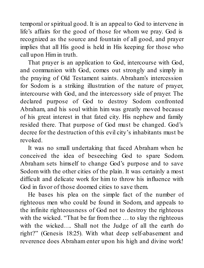temporal or spiritual good. It is an appeal to God to intervene in life's affairs for the good of those for whom we pray. God is recognized as the source and fountain of all good, and prayer implies that all His good is held in His keeping for those who call upon Himin truth.

That prayer is an application to God, intercourse with God, and communion with God, comes out strongly and simply in the praying of Old Testament saints. Abraham's intercession for Sodom is a striking illustration of the nature of prayer, intercourse with God, and the intercessory side of prayer. The declared purpose of God to destroy Sodom confronted Abraham, and his soul within him was greatly moved because of his great interest in that fated city. His nephew and family resided there. That purpose of God must be changed. God's decree for the destruction of this evil city's inhabitants must be revoked.

It was no small undertaking that faced Abraham when he conceived the idea of beseeching God to spare Sodom. Abraham sets himself to change God's purpose and to save Sodom with the other cities of the plain. It was certainly a most difficult and delicate work for him to throw his influence with God in favor of those doomed cities to save them.

He bases his plea on the simple fact of the number of righteous men who could be found in Sodom, and appeals to the infinite righteousness of God not to destroy the righteous with the wicked. "That be far from thee ... to slay the righteous with the wicked…. Shall not the Judge of all the earth do right?" (Genesis 18:25). With what deep self-abasement and reverence does Abraham enter upon his high and divine work!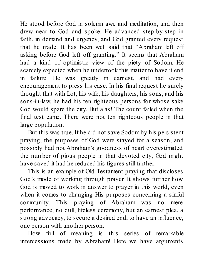He stood before God in solemn awe and meditation, and then drew near to God and spoke. He advanced step-by-step in faith, in demand and urgency, and God granted every request that he made. It has been well said that "Abraham left off asking before God left off granting." It seems that Abraham had a kind of optimistic view of the piety of Sodom. He scarcely expected when he undertook this matter to have it end in failure. He was greatly in earnest, and had every encouragement to press his case. In his final request he surely thought that with Lot, his wife, his daughters, his sons, and his sons-in-law, he had his ten righteous persons for whose sake God would spare the city. But alas! The count failed when the final test came. There were not ten righteous people in that large population.

But this was true. If he did not save Sodomby his persistent praying, the purposes of God were stayed for a season, and possibly had not Abraham's goodness of heart overestimated the number of pious people in that devoted city, God might have saved it had he reduced his figures still further.

This is an example of Old Testament praying that discloses God's mode of working through prayer. It shows further how God is moved to work in answer to prayer in this world, even when it comes to changing His purposes concerning a sinful community. This praying of Abraham was no mere performance, no dull, lifeless ceremony, but an earnest plea, a strong advocacy, to secure a desired end, to have an influence, one person with another person.

How full of meaning is this series of remarkable intercessions made by Abraham! Here we have arguments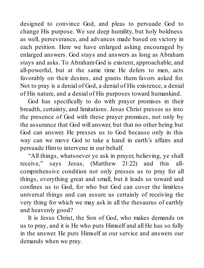designed to convince God, and pleas to persuade God to change His purpose. We see deep humility, but holy boldness as well, perseverance, and advances made based on victory in each petition. Here we have enlarged asking encouraged by enlarged answers. God stays and answers as long as Abraham stays and asks. To AbrahamGod is existent, approachable, and all-powerful, but at the same time He defers to men, acts favorably on their desires, and grants them favors asked for. Not to pray is a denial of God, a denial of His existence, a denial of His nature, and a denial of His purposes toward humankind.

God has specifically to do with prayer promises in their breadth, certainty, and limitations. Jesus Christ presses us into the presence of God with these prayer promises, not only by the assurance that God will answer, but that no other being but God can answer. He presses us to God because only in this way can we move God to take a hand in earth's affairs and persuade Himto intervene in our behalf.

"All things, whatsoever ye ask in prayer, believing, ye shall receive," says Jesus, (Matthew 21:22) and this allcomprehensive condition not only presses us to pray for all things, everything great and small, but it leads us toward and confines us to God, for who but God can cover the limitless universal things and can assure us certainly of receiving the very thing for which we may ask in all the thesaurus of earthly and heavenly good?

It is Jesus Christ, the Son of God, who makes demands on us to pray, and it is He who puts Himself and all He has so fully in the answer. He puts Himself at our service and answers our demands when we pray.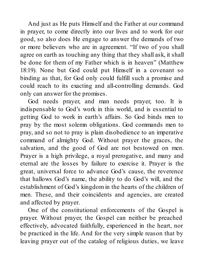And just as He puts Himself and the Father at our command in prayer, to come directly into our lives and to work for our good, so also does He engage to answer the demands of two or more believers who are in agreement. "If two of you shall agree on earth as touching any thing that they shall ask, it shall be done for them of my Father which is in heaven" (Matthew 18:19). None but God could put Himself in a covenant so binding as that, for God only could fulfill such a promise and could reach to its exacting and all-controlling demands. God only can answer for the promises.

God needs prayer, and man needs prayer, too. It is indispensable to God's work in this world, and is essential to getting God to work in earth's affairs. So God binds men to pray by the most solemn obligations. God commands men to pray, and so not to pray is plain disobedience to an imperative command of almighty God. Without prayer the graces, the salvation, and the good of God are not bestowed on men. Prayer is a high privilege, a royal prerogative, and many and eternal are the losses by failure to exercise it. Prayer is the great, universal force to advance God's cause, the reverence that hallows God's name, the ability to do God's will, and the establishment of God's kingdom in the hearts of the children of men. These, and their coincidents and agencies, are created and affected by prayer.

One of the constitutional enforcements of the Gospel is prayer. Without prayer, the Gospel can neither be preached effectively, advocated faithfully, experienced in the heart, nor be practiced in the life. And for the very simple reason that by leaving prayer out of the catalog of religious duties, we leave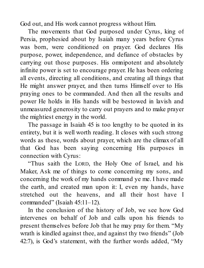God out, and His work cannot progress without Him.

The movements that God purposed under Cyrus, king of Persia, prophesied about by Isaiah many years before Cyrus was born, were conditioned on prayer. God declares His purpose, power, independence, and defiance of obstacles by carrying out those purposes. His omnipotent and absolutely infinite power is set to encourage prayer. He has been ordering all events, directing all conditions, and creating all things that He might answer prayer, and then turns Himself over to His praying ones to be commanded. And then all the results and power He holds in His hands will be bestowed in lavish and unmeasured generosity to carry out prayers and to make prayer the mightiest energy in the world.

The passage in Isaiah 45 is too lengthy to be quoted in its entirety, but it is well worth reading. It closes with such strong words as these, words about prayer, which are the climax of all that God has been saying concerning His purposes in connection with Cyrus:

"Thus saith the LORD, the Holy One of Israel, and his Maker, Ask me of things to come concerning my sons, and concerning the work of my hands command ye me. I have made the earth, and created man upon it: I, even my hands, have stretched out the heavens, and all their host have I commanded" (Isaiah 45:11–12).

In the conclusion of the history of Job, we see how God intervenes on behalf of Job and calls upon his friends to present themselves before Job that he may pray for them. "My wrath is kindled against thee, and against thy two friends" (Job 42:7), is God's statement, with the further words added, "My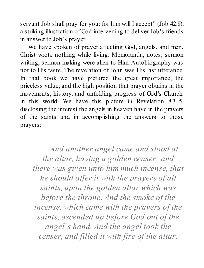servant Job shall pray for you: for him will I accept" (Job 42:8). a striking illustration of God intervening to deliver Job's friends in answer to Job's prayer.

We have spoken of prayer affecting God, angels, and men. Christ wrote nothing while living. Memoranda, notes, sermon writing, sermon making were alien to Him. Autobiography was not to His taste. The revelation of John was His last utterance. In that book we have pictured the great importance, the priceless value, and the high position that prayer obtains in the movements, history, and unfolding progress of God's Church in this world. We have this picture in Revelation 8:3–5, disclosing the interest the angels in heaven have in the prayers of the saints and in accomplishing the answers to those prayers:

*And another angel came and stood at the altar, having a golden censer; and there was given unto him much incense, that he should of er it with the prayers of all saints, upon the golden altar which was before the throne. And the smoke of the incense, which came with the prayers of the saints, ascended up before God out of the angel's hand. And the angel took the censer, and filled it with fire of the altar,*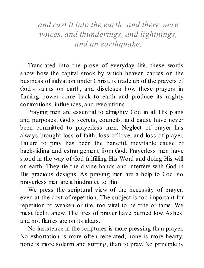*and cast it into the earth: and there were voices, and thunderings, and lightnings, and an earthquake.*

Translated into the prose of everyday life, these words show how the capital stock by which heaven carries on the business of salvation under Christ, is made up of the prayers of God's saints on earth, and discloses how these prayers in flaming power come back to earth and produce its mighty commotions, influences, and revolutions.

Praying men are essential to almighty God in all His plans and purposes. God's secrets, councils, and cause have never been committed to prayerless men. Neglect of prayer has always brought loss of faith, loss of love, and loss of prayer. Failure to pray has been the baneful, inevitable cause of backsliding and estrangement from God. Prayerless men have stood in the way of God fulfilling His Word and doing His will on earth. They tie the divine hands and interfere with God in His gracious designs. As praying men are a help to God, so prayerless men are a hindrance to Him.

We press the scriptural view of the necessity of prayer, even at the cost of repetition. The subject is too important for repetition to weaken or tire, too vital to be trite or tame. We must feel it anew. The fires of prayer have burned low. Ashes and not flames are on its altars.

No insistence in the scriptures is more pressing than prayer. No exhortation is more often reiterated, none is more hearty, none is more solemn and stirring, than to pray. No principle is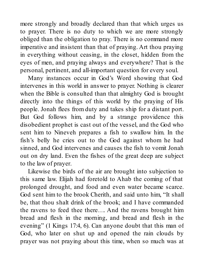more strongly and broadly declared than that which urges us to prayer. There is no duty to which we are more strongly obliged than the obligation to pray. There is no command more imperative and insistent than that of praying. Art thou praying in everything without ceasing, in the closet, hidden from the eyes of men, and praying always and everywhere? That is the personal, pertinent, and all-important question for every soul.

Many instances occur in God's Word showing that God intervenes in this world in answer to prayer. Nothing is clearer when the Bible is consulted than that almighty God is brought directly into the things of this world by the praying of His people. Jonah flees from duty and takes ship for a distant port. But God follows him, and by a strange providence this disobedient prophet is cast out of the vessel, and the God who sent him to Nineveh prepares a fish to swallow him. In the fish's belly he cries out to the God against whom he had sinned, and God intervenes and causes the fish to vomit Jonah out on dry land. Even the fishes of the great deep are subject to the law of prayer.

Likewise the birds of the air are brought into subjection to this same law. Elijah had foretold to Ahab the coming of that prolonged drought, and food and even water became scarce. God sent him to the brook Cherith, and said unto him, "It shall be, that thou shalt drink of the brook; and I have commanded the ravens to feed thee there…. And the ravens brought him bread and flesh in the morning, and bread and flesh in the evening" (1 Kings 17:4, 6). Can anyone doubt that this man of God, who later on shut up and opened the rain clouds by prayer was not praying about this time, when so much was at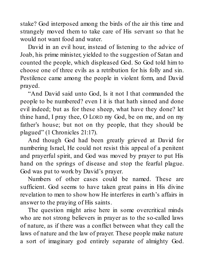stake? God interposed among the birds of the air this time and strangely moved them to take care of His servant so that he would not want food and water.

David in an evil hour, instead of listening to the advice of Joab, his prime minister, yielded to the suggestion of Satan and counted the people, which displeased God. So God told him to choose one of three evils as a retribution for his folly and sin. Pestilence came among the people in violent form, and David prayed.

"And David said unto God, Is it not I that commanded the people to be numbered? even I it is that hath sinned and done evil indeed; but as for these sheep, what have they done? let thine hand, I pray thee, O LORD my God, be on me, and on my father's house; but not on thy people, that they should be plagued" (1 Chronicles 21:17).

And though God had been greatly grieved at David for numbering Israel, He could not resist this appeal of a penitent and prayerful spirit, and God was moved by prayer to put His hand on the springs of disease and stop the fearful plague. God was put to work by David's prayer.

Numbers of other cases could be named. These are sufficient. God seems to have taken great pains in His divine revelation to men to show how He interferes in earth's affairs in answer to the praying of His saints.

The question might arise here in some overcritical minds who are not strong believers in prayer as to the so-called laws of nature, as if there was a conflict between what they call the laws of nature and the law of prayer. These people make nature a sort of imaginary god entirely separate of almighty God.